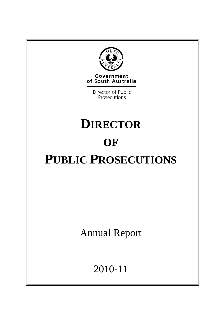

Government of South Australia

> Director of Public Prosecutions

# **DIRECTOR OF PUBLIC PROSECUTIONS**

Annual Report

2010-11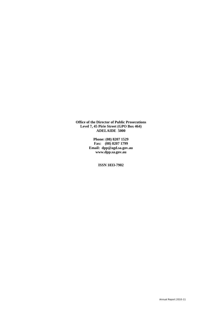**Office of the Director of Public Prosecutions Level 7, 45 Pirie Street (GPO Box 464) ADELAIDE 5000** 

> **Phone: (08) 8207 1529 Fax: (08) 8207 1799 Email: dpp@agd.sa.gov.au www.dpp.sa.gov.au**

> > **ISSN 1833-7902**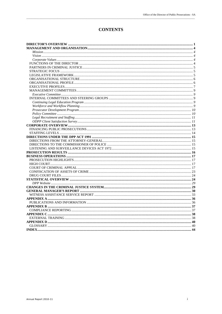## **CONTENTS**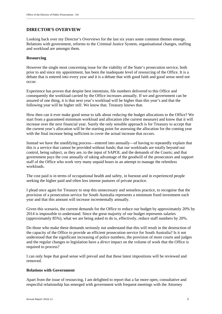## **DIRECTOR'S OVERVIEW**

Looking back over my Director's Overviews for the last six years some common themes emerge. Relations with government, reforms to the Criminal Justice System, organisational changes, staffing and workload are amongst them.

\_\_\_\_\_\_\_\_\_\_\_\_\_\_\_\_\_\_\_\_\_\_\_\_\_\_\_\_\_\_\_\_\_\_\_\_\_\_\_\_\_\_\_\_\_\_\_\_\_\_\_\_\_\_\_\_\_\_\_\_\_\_\_\_\_\_\_\_\_\_\_\_\_\_\_\_\_\_\_\_\_\_\_\_\_\_\_\_\_\_\_\_\_\_\_\_\_\_\_\_\_\_\_\_\_\_\_\_\_\_\_\_\_\_\_\_\_\_\_\_\_\_\_\_\_\_\_\_\_

#### **Resourcing**

However the single most concerning issue for the viability of the State's prosecution service, both prior to and since my appointment, has been the inadequate level of resourcing of the Office. It is a debate that is entered into every year and it is a debate that with good faith and good sense need not occur.

Experience has proven that despite best intentions, file numbers delivered to this Office and consequently the workload carried by the Office increases annually. If we and government can be assured of one thing, it is that next year's workload will be higher than this year's and that the following year will be higher still. We know that. Treasury knows that.

How then can it ever make good sense to talk about *reducing* the budget allocations to the Office? We start from a guaranteed minimum workload and allocation (the current measure) and know that it will increase over the next financial year. Surely the only sensible approach is for Treasury to accept that the current year's allocation will be the starting point for assessing the allocation for the coming year with the final increase being sufficient to cover the actual increase that occurs.

Instead we have the unedifying process—entered into annually—of having to repeatedly explain that this is a service that cannot be provided without funds; that our workloads are totally beyond our control, being subject, as they are, to the input of SAPOL and the demands of the Courts; and that government pays the cost annually of taking advantage of the goodwill of the prosecutors and support staff of the Office who work very many unpaid hours in an attempt to manage the relentless workloads.

The cost paid is in terms of occupational health and safety, in burnout and in experienced people seeking the higher paid and often less intense pastures of private practice.

I plead once again for Treasury to stop this unnecessary and senseless practice, to recognise that the provision of a prosecution service for South Australia represents a minimum fixed investment each year and that this amount will increase incrementally annually.

Given this scenario, the current demands for the Office to reduce our budget by approximately 20% by 2014 is impossible to understand. Since the great majority of our budget represents salaries (approximately 85%), what we are being asked to do is, effectively, reduce staff numbers by 20%.

Do those who make these demands seriously not understand that this will result in the destruction of the capacity of the Office to provide an efficient prosecution service for South Australia? Is it not understood that the significant increasing of police numbers, the provision of more courts and judges and the regular changes to legislation have a *direct* impact on the volume of work that the Office is required to process?

I can only hope that good sense will prevail and that these latest impositions will be reviewed and removed.

#### **Relations with Government**

Apart from the issue of resourcing, I am delighted to report that a far more open, consultative and respectful relationship has emerged with government with frequent meetings with the Attorney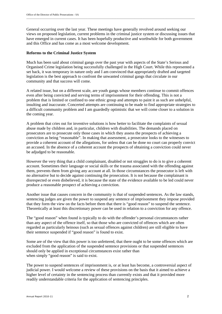General occurring over the last year. These meetings have generally revolved around seeking our views on proposed legislation, current problems in the criminal justice system or discussing issues that have emerged in current cases. It has been hopefully productive and worthwhile for both government and this Office and has come as a most welcome development.

\_\_\_\_\_\_\_\_\_\_\_\_\_\_\_\_\_\_\_\_\_\_\_\_\_\_\_\_\_\_\_\_\_\_\_\_\_\_\_\_\_\_\_\_\_\_\_\_\_\_\_\_\_\_\_\_\_\_\_\_\_\_\_\_\_\_\_\_\_\_\_\_\_\_\_\_\_\_\_\_\_\_\_\_\_\_\_\_\_\_\_\_\_\_\_\_\_\_\_\_\_\_\_\_\_\_\_\_\_\_\_\_\_\_\_\_\_\_\_\_\_\_\_\_\_\_\_\_\_

#### **Reforms to the Criminal Justice System**

Much has been said about criminal gangs over the past year with aspects of the State's Serious and Organised Crime legislation being successfully challenged in the High Court. While this represented a set back, it was temporary in nature only and I am convinced that appropriately drafted and targeted legislation is the best approach to confront the unwanted criminal gangs that circulate in our community and that success will come.

A related issue, but on a different scale, are youth gangs whose members continue to commit offences even after being convicted and serving terms of imprisonment for their offending. This is not a problem that is limited or confined to one ethnic group and attempts to paint it as such are unhelpful, insulting and inaccurate. Concerted attempts are continuing to be made to find appropriate strategies to a difficult community problem and I am guardedly optimistic that we will come closer to a solution in the coming year.

A problem that cries out for inventive solutions is how better to facilitate the complaints of sexual abuse made by children and, in particular, children with disabilities. The demands placed on prosecutors are to prosecute only those cases in which they assess the prospects of achieving a conviction as being "reasonable". In making that assessment, a prosecutor looks to the witnesses to provide a coherent account of the allegations, for unless that can be done no court can properly convict an accused. In the absence of a coherent account the prospects of obtaining a conviction could never be adjudged to be reasonable.

However the very thing that a child complainant, disabled or not struggles to do is to give a coherent account. Sometimes their language or social skills or the trauma associated with the offending against them, prevents them from giving any account at all. In those circumstances the prosecutor is left with no alternative but to decide against continuing the prosecution. It is not because the complainant is disrespected or even disbelieved, it is because the state of the evidence available to be led could never produce a reasonable prospect of achieving a conviction.

Another issue that causes concern in the community is that of suspended sentences. As the law stands, sentencing judges are given the power to suspend any sentence of imprisonment they impose provided that they form the view on the facts before them that there is "good reason" to suspend the sentence. Theoretically at least this discretionary power can be used in relation to a conviction for any offence.

The "good reason" when found is typically to do with the offender's personal circumstances rather than any aspect of the offence itself, so that those who are convicted of offences which are often regarded as particularly heinous (such as sexual offences against children) are still eligible to have their sentence suspended if "good reason" is found to exist.

Some are of the view that this power is too unfettered, that there ought to be some offences which are excluded from the application of the suspended sentence provisions or that suspended sentences should only be applied in exceptional circumstances exist rather than when simply "good reason" is said to exist.

The power to suspend sentences of imprisonment is, or at least has become, a controversial aspect of judicial power. I would welcome a review of these provisions on the basis that it aimed to achieve a higher level of certainty in the sentencing process than currently exists and that it provided more readily understandable criteria for the application of sentencing principles.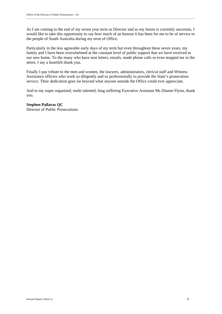As I am coming to the end of my seven year term as Director and as my future is currently uncertain, I would like to take this opportunity to say how much of an honour it has been for me to be of service to the people of South Australia during my term of Office.

\_\_\_\_\_\_\_\_\_\_\_\_\_\_\_\_\_\_\_\_\_\_\_\_\_\_\_\_\_\_\_\_\_\_\_\_\_\_\_\_\_\_\_\_\_\_\_\_\_\_\_\_\_\_\_\_\_\_\_\_\_\_\_\_\_\_\_\_\_\_\_\_\_\_\_\_\_\_\_\_\_\_\_\_\_\_\_\_\_\_\_\_\_\_\_\_\_\_\_\_\_\_\_\_\_\_\_\_\_\_\_\_\_\_\_\_\_\_\_\_\_\_\_\_\_\_\_\_\_

Particularly in the less agreeable early days of my term but even throughout these seven years, my family and I have been overwhelmed at the constant level of public support that we have received in our new home. To the many who have sent letters, emails, made phone calls or even stopped me in the street, I say a heartfelt thank you.

Finally I pay tribute to the men and women, the lawyers, administrators, clerical staff and Witness Assistance officers who work so diligently and so professionally to provide the State's prosecution service. Their dedication goes far beyond what anyone outside the Office could ever appreciate.

And to my super organised, multi talented, long suffering Executive Assistant Ms Dianne Flynn, thank you.

**Stephen Pallaras QC**  Director of Public Prosecutions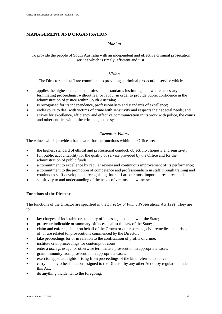#### **MANAGEMENT AND ORGANISATION**

#### *Mission*

To provide the people of South Australia with an independent and effective criminal prosecution service which is timely, efficient and just.

\_\_\_\_\_\_\_\_\_\_\_\_\_\_\_\_\_\_\_\_\_\_\_\_\_\_\_\_\_\_\_\_\_\_\_\_\_\_\_\_\_\_\_\_\_\_\_\_\_\_\_\_\_\_\_\_\_\_\_\_\_\_\_\_\_\_\_\_\_\_\_\_\_\_\_\_\_\_\_\_\_\_\_\_\_\_\_\_\_\_\_\_\_\_\_\_\_\_\_\_\_\_\_\_\_\_\_\_\_\_\_\_\_\_\_\_\_\_\_\_\_\_\_\_\_\_\_\_\_

#### *Vision*

The Director and staff are committed to providing a criminal prosecution service which:

- applies the highest ethical and professional standards instituting, and where necessary terminating proceedings, without fear or favour in order to provide public confidence in the administration of justice within South Australia;
- is recognised for its independence, professionalism and standards of excellence;
- endeavours to deal with victims of crime with sensitivity and respects their special needs; and
- strives for excellence, efficiency and effective communication in its work with police, the courts and other entities within the criminal justice system.

#### *Corporate Values*

The values which provide a framework for the functions within the Office are:

- the highest standard of ethical and professional conduct, objectivity, honesty and sensitivity;
- full public accountability for the quality of service provided by the Office and for the administration of public funds;
- a commitment to excellence by regular review and continuous improvement of its performance;
- a commitment to the promotion of competence and professionalism in staff through training and continuous staff development, recognising that staff are our most important resource; and
- sensitivity to and understanding of the needs of victims and witnesses.

#### **Functions of the Director**

The functions of the Director are specified in the *Director of Public Prosecutions Act 1991.* They are to:

- lay charges of indictable or summary offences against the law of the State;
- prosecute indictable or summary offences against the law of the State;
- claim and enforce, either on behalf of the Crown or other persons, civil remedies that arise out of, or are related to, prosecutions commenced by the Director;
- take proceedings for or in relation to the confiscation of profits of crime;
- $\bullet$  institute civil proceedings for contempt of court;
- enter a *nolle prosequi* or otherwise terminate a prosecution in appropriate cases;
- grant immunity from prosecution in appropriate cases;
- exercise appellate rights arising from proceedings of the kind referred to above;
- carry out any other function assigned to the Director by any other Act or by regulation under this Act;
- do anything incidental to the foregoing.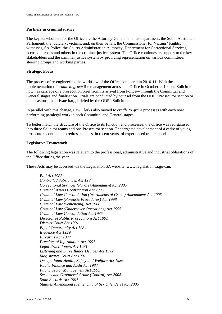#### **Partners in criminal justice**

The key stakeholders for the Office are the Attorney-General and his department, the South Australian Parliament, the judiciary, victims, and, on their behalf, the Commissioner for Victims' Rights, witnesses, SA Police, the Courts Administration Authority, Department for Correctional Services, accused persons and others in the criminal justice system. The Office continues its support to the key stakeholders and the criminal justice system by providing representation on various committees, steering groups and working parties.

#### **Strategic Focus**

The process of re-engineering the workflow of the Office continued in 2010-11. With the implementation of *cradle to grave* file management across the Office in October 2010, one Solicitor now has carriage of a prosecution brief from its arrival from Police—through the Committal and General stages and finalisation. Trials are conducted by counsel from the ODPP Prosecutor section or, on occasions, the private bar, , briefed by the ODPP Solicitor.

In parallel with this change, Law Clerks also moved to *cradle to grave* processes with each now performing paralegal work in both Committal and General stages.

To better match the structure of the Office to its function and processes, the Office was reorganised into three Solicitor teams and one Prosecutor section. The targeted development of a cadre of young prosecutors continued to redress the loss, in recent years, of experienced trail counsel.

#### **Legislative Framework**

The following legislation was relevant to the professional, administrative and industrial obligations of the Office during the year.

These Acts may be accessed via the Legislation SA website, www.legislation.sa.gov.au.

*Bail Act 1985 Controlled Substances Act 1984 Correctional Services (Parole) Amendment Act 2005 Criminal Assets Confiscation Act 2005 Criminal Law Consolidation (Instruments of Crime) Amendment Act 2005 Criminal Law (Forensic Procedures) Act 1998 Criminal Law (Sentencing) Act 1988 Criminal Law (Undercover Operations) Act 1995 Criminal Law Consolidation Act 1935 Director of Public Prosecutions Act 1991 District Court Act 1991 Equal Opportunity Act 1984 Evidence Act 1929 Firearms Act 1977 Freedom of Information Act 1991 Legal Practitioners Act 1981 Listening and Surveillance Devices Act 1972 Magistrates Court Act 1991 Occupational Health, Safety and Welfare Act 1986 Public Finance and Audit Act 1987 Public Sector Management Act 1995 Serious and Organised Crime (Control) Act 2008 State Records Act 1997 Statutes Amendment (Sentencing of Sex Offenders) Act 2005*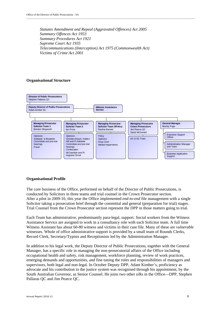*Statutes Amendment and Repeal (Aggravated Offences) Act 2005 Summary Offences Act 1953 Summary Procedures Act 1921 Supreme Court Act 1935 Telecommunications (Interception) Act 1975 (Commonwealth Act) Victims of Crime Act 2001*

\_\_\_\_\_\_\_\_\_\_\_\_\_\_\_\_\_\_\_\_\_\_\_\_\_\_\_\_\_\_\_\_\_\_\_\_\_\_\_\_\_\_\_\_\_\_\_\_\_\_\_\_\_\_\_\_\_\_\_\_\_\_\_\_\_\_\_\_\_\_\_\_\_\_\_\_\_\_\_\_\_\_\_\_\_\_\_\_\_\_\_\_\_\_\_\_\_\_\_\_\_\_\_\_\_\_\_\_\_\_\_\_\_\_\_\_\_\_\_\_\_\_\_\_\_\_\_\_\_

#### **Organisational Structure**



#### **Organisational Profile**

The core business of the Office, performed on behalf of the Director of Public Prosecutions, is conducted by Solicitors in three teams and trial counsel in the Crown Prosecutor section. After a pilot in 2009-10, this year the Office implemented *end-to-end* file management with a single Solicitor taking a prosecution brief through the committal and general (preparation for trial) stages. Trial Counsel from the Crown Prosecutor section represent the DPP in those matters going to trial.

Each Team has administrative, predominantly para-legal, support. Social workers from the Witness Assistance Service are assigned to work in a consultancy role with each Solicitor team. A full time Witness Assistant has about 60-80 witness and victims in their case file. Many of these are *vulnerable* witnesses. Whole of office administrative support is provided by a small team of Rounds Clerks, Record Clerk, Secretary/Typists and Receptionists led by the Administration Manager.

In addition to his legal work, the Deputy Director of Public Prosecutions, together with the General Manager, has a specific role in managing the non-prosecutorial affairs of the Office including occupational health and safety, risk management, workforce planning, review of work practices, emerging demands and opportunities, and fine tuning the roles and responsibilities of managers and supervisors, both legal and non-legal. In October Deputy DPP, Adam Kimber's, proficiency as advocate and his contribution to the justice system was recognised through his appointment, by the South Australian Governor, as Senior Counsel. He joins two other *silks* in the Office—DPP, Stephen Pallaras QC and Jim Pearce QC.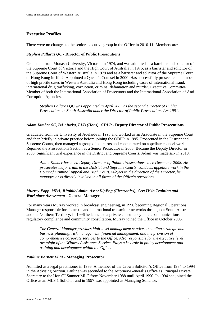## **Executive Profiles**

There were no changes to the senior executive group in the Office in 2010-11. Members are:

#### *Stephen Pallaras QC -* **Director of Public Prosecutions**

Graduated from Monash University, Victoria, in 1974, and was admitted as a barrister and solicitor of the Supreme Court of Victoria and the High Court of Australia in 1975, as a barrister and solicitor of the Supreme Court of Western Australia in 1979 and as a barrister and solicitor of the Supreme Court of Hong Kong in 1992. Appointed a Queen's Counsel in 2000. Has successfully prosecuted a number of high profile cases in Western Australia and Hong Kong including cases of international fraud, international drug trafficking, corruption, criminal defamation and murder. Executive Committee Member of both the International Association of Prosecutors and the International Association of Anti Corruption Agencies.

\_\_\_\_\_\_\_\_\_\_\_\_\_\_\_\_\_\_\_\_\_\_\_\_\_\_\_\_\_\_\_\_\_\_\_\_\_\_\_\_\_\_\_\_\_\_\_\_\_\_\_\_\_\_\_\_\_\_\_\_\_\_\_\_\_\_\_\_\_\_\_\_\_\_\_\_\_\_\_\_\_\_\_\_\_\_\_\_\_\_\_\_\_\_\_\_\_\_\_\_\_\_\_\_\_\_\_\_\_\_\_\_\_\_\_\_\_\_\_\_\_\_\_\_\_\_\_\_\_

*Stephen Pallaras QC was appointed in April 2005 as the second Director of Public Prosecutions in South Australia under the Director of Public Prosecutions Act 1991.* 

#### *Adam Kimber SC, BA (Juris), LLB (Hons), GDLP -* **Deputy Director of Public Prosecutions**

Graduated from the University of Adelaide in 1993 and worked as an Associate in the Supreme Court and then briefly in private practice before joining the ODPP in 1995. Prosecuted in the District and Supreme Courts, then managed a group of solicitors and concentrated on appellate counsel work. Rejoined the Prosecutions Section as a Senior Prosecutor in 2005. Became the Deputy Director in 2008. Significant trial experience in the District and Supreme Courts. Adam was made *silk* in 2010.

*Adam Kimber has been Deputy Director of Public Prosecutions since December 2008. He prosecutes major trials in the District and Supreme Courts, conducts appellate work in the Court of Criminal Appeal and High Court. Subject to the direction of the Director, he manages or is directly involved in all facets of the Office's operations.* 

#### *Murray Fopp MBA, BPublicAdmin***,** *AssocDipEng (Electronics), Cert IV in Training and Workplace Assessment -* **General Manager**

For many years Murray worked in broadcast engineering, in 1990 becoming Regional Operations Manager responsible for domestic and international transmitter networks throughout South Australia and the Northern Territory. In 1996 he launched a private consultancy in telecommunications regulatory compliance and community consultation. Murray joined the Office in October 2005.

*The General Manager provides high-level management services including strategic and business planning, risk management, financial management, and the provision of comprehensive corporate services to the Office. Also responsible for the executive level oversight of the Witness Assistance Service. Plays a key role in policy development and training and development within the Office.* 

#### *Pauline Barnett LLM* **- Managing Prosecutor**

Admitted as a legal practitioner in 1986. A member of the Crown Solicitor's Office from 1984 to 1994 in the Advising Section. Pauline was seconded to the Attorney-General's Office as Principal Private Secretary to the Hon CJ Sumner MLC from November 1988 until April 1990. In 1994 she joined the Office as an MLS 1 Solicitor and in 1997 was appointed as Managing Solicitor.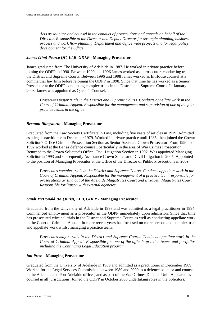*Acts as solicitor and counsel in the conduct of prosecutions and appeals on behalf of the Director. Responsible to the Director and Deputy Director for strategic planning, business process and work flow planning, Department and Office wide projects and for legal policy development for the Office.* 

\_\_\_\_\_\_\_\_\_\_\_\_\_\_\_\_\_\_\_\_\_\_\_\_\_\_\_\_\_\_\_\_\_\_\_\_\_\_\_\_\_\_\_\_\_\_\_\_\_\_\_\_\_\_\_\_\_\_\_\_\_\_\_\_\_\_\_\_\_\_\_\_\_\_\_\_\_\_\_\_\_\_\_\_\_\_\_\_\_\_\_\_\_\_\_\_\_\_\_\_\_\_\_\_\_\_\_\_\_\_\_\_\_\_\_\_\_\_\_\_\_\_\_\_\_\_\_\_\_

#### *James (Jim) Pearce QC, LLB GDLP -* **Managing Prosecutor**

James graduated from The University of Adelaide in 1987. He worked in private practice before joining the ODPP in 1990. Between 1990 and 1996 James worked as a prosecutor, conducting trials in the District and Supreme Courts. Between 1996 and 1998 James worked as In House counsel at a commercial law firm before rejoining the ODPP in 1998. Since that time he has worked as a Senior Prosecutor at the ODPP conducting complex trials in the District and Supreme Courts. In January 2008, James was appointed as Queen's Counsel.

*Prosecutes major trials in the District and Supreme Courts. Conducts appellate work in the Court of Criminal Appeal. Responsible for the management and supervision of one of the four practice teams in the office* 

#### *Brenton Illingworth* **- Managing Prosecutor**

Graduated from the Law Society Certificate in Law, including five years of articles in 1979. Admitted as a legal practitioner in December 1979. Worked in private practice until 1985, then joined the Crown Solicitor's Office Criminal Prosecution Section as Senior Assistant Crown Prosecutor. From 1990 to 1992 worked at the Bar as defence counsel, particularly in the area of War Crimes Prosecution. Returned to the Crown Solicitor's Office, Civil Litigation Section in 1992. Was appointed Managing Solicitor in 1993 and subsequently Assistance Crown Solicitor of Civil Litigation in 2005. Appointed to the position of Managing Prosecutor at the Office of the Director of Public Prosecutions in 2009.

*Prosecutes complex trials in the District and Supreme Courts. Conducts appellate work in the Court of Criminal Appeal. Responsible for the management of a practice team responsible for prosecutions arising out of the Adelaide Magistrates Court and Elizabeth Magistrates Court. Responsible for liaison with external agencies.* 

#### *Sandi McDonald BA (Juris), LLB, GDLP -* **Managing Prosecutor**

Graduated from the University of Adelaide in 1993 and was admitted as a legal practitioner in 1994. Commenced employment as a prosecutor in the ODPP immediately upon admission. Since that time has prosecuted criminal trials in the District and Supreme Courts as well as conducting appellate work in the Court of Criminal Appeal. In more recent years has focussed on more serious and complex trial and appellate work whilst managing a practice team.

*Prosecutes major trials in the District and Supreme Courts. Conducts appellate work in the Court of Criminal Appeal. Responsible for one of the office's practice teams and portfolios including the Continuing Legal Education program*.

#### *Ian Press -* **Managing Prosecutor**

Graduated from the University of Adelaide in 1989 and admitted as a practitioner in December 1989. Worked for the Legal Services Commission between 1989 and 2000 as a defence solicitor and counsel in the Adelaide and Port Adelaide offices, and as part of the War Crimes Defence Unit. Appeared as counsel in all jurisdictions. Joined the ODPP in October 2000 undertaking roles in the Solicitors,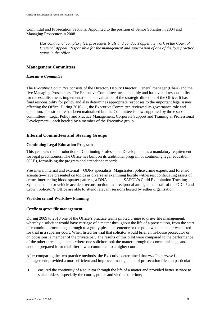Committal and Prosecution Sections. Appointed to the position of Senior Solicitor in 2004 and Managing Prosecutor in 2008.

*Has conduct of complex files, prosecutes trials and conducts appellate work in the Court of Criminal Appeal. Responsible for the management and supervision of one of the four practice teams in the office* 

#### **Management Committees**

#### *Executive Committee*

The *Executive Committee* consists of the Director, Deputy Director, General manager (Chair) and the five Managing Prosecutors. The Executive Committee meets monthly and has overall responsibility for the establishment, implementation and evaluation of the strategic direction of the Office. It has final responsibility for policy and also determines appropriate responses to the important legal issues affecting the Office. During 2010-11, the Executive Committee reviewed its governance role and operation. The structure has been maintained but the Committee is now supported by three subcommittees—Legal Policy and Practice Management, Corporate Support and Training & Professional Development—each headed by a member of the Executive group.

#### **Internal Committees and Steering Groups**

#### **Continuing Legal Education Program**

This year saw the introduction of Continuing Professional Development as a mandatory requirement for legal practitioners. The Office has built on its traditional program of continuing legal education (CLE), formalising the program and attendance records.

Presenters, internal and external—ODPP specialists, Magistrates, police crime experts and forensic scientists—have presented on topics as diverse as examining hostile witnesses, confiscating assets of crime, interpreting blood spatter patterns, a DNA 'update', SAPOL's Child Exploitation Tracking System and motor vehicle accident reconstruction. In a reciprocal arrangement, staff of the ODPP and Crown Solicitor's Office are able to attend relevant sessions hosted by either organisation.

#### **Workforce and Workflow Planning**

#### *Cradle to grave* **file management**

During 2009 to 2010 one of the Office's practice teams piloted *cradle to grave* file management, whereby a solicitor would have carriage of a matter throughout the life of a prosecution, from the start of committal proceedings through to a guilty plea and sentence or the point when a matter was listed for trial in a superior court. When listed for trial that solicitor would brief an in-house prosecutor or, on occasions, a member of the private bar. The results of this pilot were compared to the performance of the other three legal teams where one solicitor took the matter through the committal stage and another prepared it for trial after it was committed to a higher court.

After comparing the two practice methods, the Executive determined that *cradle to grave* file management provided a more efficient and improved management of prosecution files. In particular it

 ensured the continuity of a solicitor through the life of a matter and provided better service to stakeholders, especially the courts, police and victims of crime;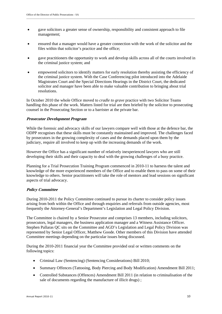- gave solicitors a greater sense of ownership, responsibility and consistent approach to file management;
- ensured that a manager would have a greater connection with the work of the solicitor and the files within that solicitor's practice and the office;

- gave practitioners the opportunity to work and develop skills across all of the courts involved in the criminal justice system; and
- empowered solicitors to identify matters for early resolution thereby assisting the efficiency of the criminal justice system. With the Case Conferencing pilot introduced into the Adelaide Magistrates Court and the Special Directions Hearings in the District Court, the dedicated solicitor and manager have been able to make valuable contribution to bringing about trial resolutions.

In October 2010 the whole Office moved to *cradle to grave* practice with two Solicitor Teams handling this phase of the work. Matters listed for trial are then briefed by the solicitor to prosecuting counsel in the Prosecuting Section or to a barrister at the private bar.

#### **Prosecutor Development Program**

While the forensic and advocacy skills of our lawyers compare well with those at the defence bar, the ODPP recognises that these skills must be constantly maintained and improved. The challenges faced by prosecutors in the growing complexity of cases and the demands placed upon them by the judiciary, require all involved to keep up with the increasing demands of the work.

However the Office has a significant number of relatively inexperienced lawyers who are still developing their skills and their capacity to deal with the growing challenges of a busy practice.

Planning for a Trial Prosecution Training Program commenced in 2010-11 to harness the talent and knowledge of the more experienced members of the Office and to enable them to pass on some of their knowledge to others. Senior practitioners will take the role of mentors and lead sessions on significant aspects of trial advocacy.

#### **Policy Committee**

During 2010-2011 the Policy Committee continued to pursue its charter to consider policy issues arising from both within the Office and through enquiries and referrals from outside agencies, most frequently the Attorney-General's Department's Legislation and Legal Policy Division.

The Committee is chaired by a Senior Prosecutor and comprises 13 members, including solicitors, prosecutors, legal managers, the business application manager and a Witness Assistance Officer. Stephen Pallaras QC sits on the Committee and AGD's Legislation and Legal Policy Division was represented by Senior Legal Officer, Matthew Goode. Other members of this Division have attended Committee meetings depending on the particular issues being discussed.

During the 2010-2011 financial year the Committee provided oral or written comments on the following topics:

- Criminal Law (Sentencing) (Sentencing Considerations) Bill 2010;
- Summary Offences (Tattooing, Body Piercing and Body Modification) Amendment Bill 2011;
- Controlled Substances (Offences) Amendment Bill 2011 (in relation to criminalisation of the sale of documents regarding the manufacture of illicit drugs) ;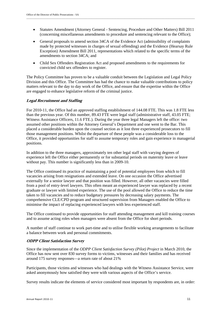- Statutes Amendment (Attorney General Sentencing, Procedure and Other Matters) Bill 2011 (concerning miscellaneous amendments to procedure and sentencing relevant to the Office);
- General proposals to amend section 34CA of the Evidence Act (admissibility of complaints made by protected witnesses in charges of sexual offending) and the Evidence (Hearsay Rule Exception) Amendment Bill 2011, representations which related to the specific terms of the amendments to section 34CA; and
- Child Sex Offenders Registration Act and proposed amendments to the requirements for convicted child sex offenders to register.

The Policy Committee has proven to be a valuable conduit between the Legislation and Legal Policy Division and this Office. The Committee has had the chance to make valuable contributions to policy matters relevant to the day to day work of the Office, and ensure that the expertise within the Office are engaged to enhance legislative reform of the criminal justice.

#### **Legal Recruitment and Staffing**

For 2010-11, the Office had an approved staffing establishment of 144.08 FTE. This was 1.8 FTE less than the previous year. Of this number, 89.43 FTE were legal staff (administrative staff, 43.05 FTE; Witness Assistance Officers, 11.6 FTE.). During the year three legal Managers left the office: two assumed other positions within the Attorney General's Department and one went to the Bar. This placed a considerable burden upon the counsel section as it lost three experienced prosecutors to fill those management positions. Whilst the departure of these people was a considerable loss to the Office, it provided opportunities for staff to assume temporary roles and gain experience in managerial positions.

In addition to the three managers, approximately ten other legal staff with varying degrees of experience left the Office either permanently or for substantial periods on maternity leave or leave without pay. This number is significantly less than in 2009-10.

The Office continued its practice of maintaining a pool of potential employees from which to fill vacancies arising from resignations and extended leave. On one occasion the Office advertised externally for a senior lawyer and that position was filled. However, all other vacancies were filled from a pool of entry-level lawyers. This often meant an experienced lawyer was replaced by a recent graduate or lawyer with limited experience. The use of the pool allowed the Office to reduce the time taken to fill vacancies and to reduce budgetary pressures by decreasing salary payments. The comprehensive CLE/CPD program and structured supervision from Managers enabled the Office to minimise the impact of replacing experienced lawyers with less experienced staff.

The Office continued to provide opportunities for staff attending management and kill training courses and to assume acting roles when managers were absent from the Office for short periods.

A number of staff continue to work part-time and to utilise flexible working arrangements to facilitate a balance between work and personal commitments.

#### **ODPP Client Satisfaction Survey**

Since the implementation of the *ODPP Client Satisfaction Survey (Pilot) Project* in March 2010, the Office has now sent over 830 survey forms to victims, witnesses and their families and has received around 175 survey responses—a return rate of about 21%

Participants, those victims and witnesses who had dealings with the Witness Assistance Service, were asked anonymously how satisfied they were with various aspects of the Office's service.

Survey results indicate the elements of service considered most important by respondents are, in order: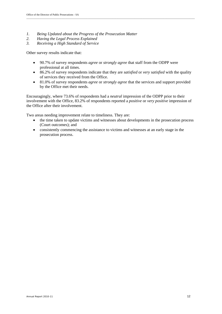- *1. Being Updated about the Progress of the Prosecution Matter*
- *2. Having the Legal Process Explained*
- *3. Receiving a High Standard of Service*

Other survey results indicate that:

- 90.7% of survey respondents *agree* or *strongly agree* that staff from the ODPP were professional at all times.
- 86.2% of survey respondents indicate that they are *satisfied* or *very satisfied* with the quality of services they received from the Office.

\_\_\_\_\_\_\_\_\_\_\_\_\_\_\_\_\_\_\_\_\_\_\_\_\_\_\_\_\_\_\_\_\_\_\_\_\_\_\_\_\_\_\_\_\_\_\_\_\_\_\_\_\_\_\_\_\_\_\_\_\_\_\_\_\_\_\_\_\_\_\_\_\_\_\_\_\_\_\_\_\_\_\_\_\_\_\_\_\_\_\_\_\_\_\_\_\_\_\_\_\_\_\_\_\_\_\_\_\_\_\_\_\_\_\_\_\_\_\_\_\_\_\_\_\_\_\_\_\_

 81.0% of survey respondents *agree* or *strongly agree* that the services and support provided by the Office met their needs.

Encouragingly, where 73.6% of respondents had a *neutral* impression of the ODPP prior to their involvement with the Office, 83.2% of respondents reported a *positive* or *very positive* impression of the Office after their involvement.

Two areas needing improvement relate to timeliness. They are:

- the time taken to update victims and witnesses about developments in the prosecution process (Court outcomes); and
- consistently commencing the assistance to victims and witnesses at an early stage in the prosecution process.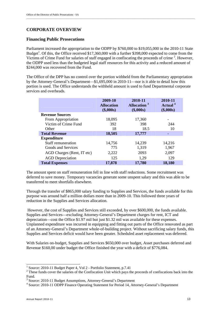## **CORPORATE OVERVIEW**

#### **Financing Public Prosecutions**

Parliament increased the appropriation to the ODPP by \$760,000 to \$19,055,000 in the 2010-11 State Budget<sup>1</sup>. Of this, the Office received \$17,360,000 with a further \$398,000 expected to come from the Victims of Crime Fund for salaries of staff engaged in confiscating the proceeds of crime<sup>2</sup>. However, the ODPP used less than the budgeted legal staff resources for this activity and a reduced amount of \$244,000 was recovered from the Fund.

The Office of the DPP has no control over the portion withheld from the Parliamentary appropriation by the Attorney-General's Department—\$1,695,000 in 2010-11—nor is it able to detail how this portion is used. The Office understands the withheld amount is used to fund Departmental corporate services and overheads.

|                            | 2009-10<br><b>Allocation</b><br>(\$,000s) | 2010-11<br>Allocation <sup>3</sup><br>(\$,000s) | 2010-11<br>Actual <sup>4</sup><br>$(\$,000s)$ |
|----------------------------|-------------------------------------------|-------------------------------------------------|-----------------------------------------------|
| <b>Revenue Sources</b>     |                                           |                                                 |                                               |
| From Appropriation         | 18,095                                    | 17,360                                          | -                                             |
| Victim of Crime Fund       | 392                                       | 398                                             | 244                                           |
| Other                      | 18                                        | 18.5                                            | 10                                            |
| <b>Total Revenue</b>       | 18,505                                    | 17,777                                          |                                               |
| <b>Expenditure</b>         |                                           |                                                 |                                               |
| Staff remuneration         | 14,756                                    | 14,239                                          | 14,216                                        |
| Goods and Services         | 775                                       | 1,319                                           | 1,967                                         |
| AGD Charges (Rent, IT etc) | 2,222                                     | 2093                                            | 2,097                                         |
| <b>AGD</b> Depreciation    | 125                                       | 1,29                                            | 129                                           |
| <b>Total Expenses</b>      | 17,878                                    | 17,780                                          | 18,180                                        |

The amount spent on staff remuneration fell in line with staff reductions. Some recruitment was deferred to save money. Temporary vacancies generate some unspent salary and this was able to be transferred to meet shortfalls elsewhere.

Through the transfer of \$865,000 salary funding to Supplies and Services, the funds available for this purpose was around half a million dollars more than in 2009-10. This followed three years of reduction in the Supplies and Services allocation.

 However, the cost of Supplies and Services still exceeded, by over \$600,000, the funds available. Supplies and Services—excluding Attorney-General's Department charges for rent, ICT and depreciation—cost the Office \$1.97 mil but just \$1.32 mil was available for these expenses. Unplanned expenditure was incurred in equipping and fitting out parts of the Office renovated as part of an Attorney-General's Department whole-of-building project. Without sacrificing salary funds, this Supplies and Services deficit would have been greater. Scheduled asset replacement was deferred.

With Salaries on-budget, Supplies and Services \$650,000 over budget, Asset purchases deferred and Revenue \$160,00 under budget the Office finished the year with a deficit of \$776,084.

 1 Source: 2010-11 Budget Paper 4, Vol 2 - Portfolio Statement, p.7.41

 $2$  These funds cover the salaries of the Confiscation Unit which pays the proceeds of confiscations back into the Fund.

 $\frac{3}{4}$  Source: 2010-11 Budget Assumptions, Attorney-General's Department  $\frac{4}{4}$  Source: 2010-11 ODPP Einenge Operating Statement for Period 14, Att

Source: 2010-11 ODPP Finance Operating Statement for Period 14, Attorney-General's Department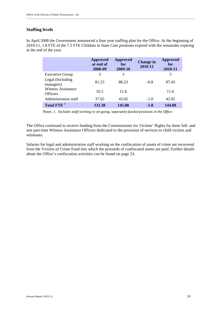## **Staffing levels**

In April 2008 the Government announced a four-year staffing plan for the Office. At the beginning of 2010-11, 1.8 FTE of the 7.5 FTE Children in State Care positions expired with the remainder expiring at the end of the year.

|                                              | <b>Approved</b><br>at end of<br>2008-09 | <b>Approved</b><br>for<br>2009-10 | <b>Change in</b><br>2010-11 | <b>Approved</b><br>for<br>2010-11 |
|----------------------------------------------|-----------------------------------------|-----------------------------------|-----------------------------|-----------------------------------|
| <b>Executive Group</b>                       | 3                                       | 3                                 |                             | 3                                 |
| Legal (Including)<br>managers)               | 81.23                                   | 88.23                             | $-0.8$                      | 87.43                             |
| <b>Witness Assistance</b><br><b>Officers</b> | 10.5                                    | 11.6                              |                             | 11.6                              |
| Administration staff                         | 37.65                                   | 43.05                             | $-1.0$                      | 42.05                             |
| Total FTE <sup>1</sup>                       | 132.38                                  | 145.88                            | $-1.8$                      | 144.08                            |

Notes: *1. Includes staff working in on-going, separately-funded positions in the Office.* 

The Office continued to receive funding from the Commissioner for Victims' Rights for three full- and one part-time Witness Assistance Officers dedicated to the provision of services to child victims and witnesses.

Salaries for legal and administration staff working on the confiscation of assets of crime are recovered from the Victims of Crime Fund into which the proceeds of confiscated assets are paid. Further details about the Office's confiscation activities can be found on page 23.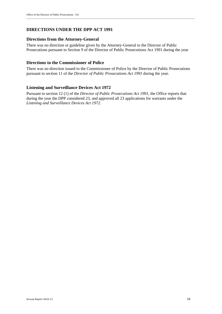## **DIRECTIONS UNDER THE DPP ACT 1991**

#### **Directions from the Attorney-General**

There was no direction or guideline given by the Attorney-General to the Director of Public Prosecutions pursuant to Section 9 of the Director of Public Prosecutions Act 1991 during the year

#### **Directions to the Commissioner of Police**

There was no direction issued to the Commissioner of Police by the Director of Public Prosecutions pursuant to section 11 of the *Director of Public Prosecutions Act 1991* during the year.

#### **Listening and Surveillance Devices Act 1972**

Pursuant to section 12 (1) of the *Director of Public Prosecutions Act 1991*, the Office reports that during the year the DPP considered 23, and approved all 23 applications for warrants under the *Listening and Surveillance Devices Act 1972*.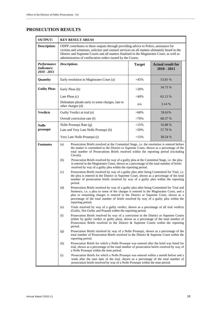# **PROSECUTION RESULTS**

| <b>OUTPUT:</b>                                   |                                                                                                                                                                                                                                                                                                                                                                                                                                                                                                | <b>KEY RESULT AREAS</b>                                                                                                                                                                                                                                                                                                                                                                                                                            |               |                                           |  |  |  |
|--------------------------------------------------|------------------------------------------------------------------------------------------------------------------------------------------------------------------------------------------------------------------------------------------------------------------------------------------------------------------------------------------------------------------------------------------------------------------------------------------------------------------------------------------------|----------------------------------------------------------------------------------------------------------------------------------------------------------------------------------------------------------------------------------------------------------------------------------------------------------------------------------------------------------------------------------------------------------------------------------------------------|---------------|-------------------------------------------|--|--|--|
| <b>Description:</b>                              |                                                                                                                                                                                                                                                                                                                                                                                                                                                                                                | ODPP contributes to these outputs through providing advice to Police, assistance for<br>victims and witnesses, solicitor and counsel services on all matters ultimately heard in the<br>District and Supreme Courts and all matters finalised in the Magistrates Court, as well as<br>administration of confiscation orders issued by the Courts.                                                                                                  |               |                                           |  |  |  |
| Performance<br><b>Indicators:</b><br>2010 - 2011 | <b>Descriptions</b>                                                                                                                                                                                                                                                                                                                                                                                                                                                                            |                                                                                                                                                                                                                                                                                                                                                                                                                                                    | <b>Target</b> | <b>Actual result for</b><br>$2010 - 2011$ |  |  |  |
| Quantity                                         |                                                                                                                                                                                                                                                                                                                                                                                                                                                                                                | Early resolution in Magistrates Court (a)                                                                                                                                                                                                                                                                                                                                                                                                          | $>45\%$       | 53.81 %                                   |  |  |  |
| <b>Guilty Pleas</b>                              | Early Pleas (b)                                                                                                                                                                                                                                                                                                                                                                                                                                                                                |                                                                                                                                                                                                                                                                                                                                                                                                                                                    | $>20\%$       | 34.73 %                                   |  |  |  |
|                                                  | Late Pleas (c)                                                                                                                                                                                                                                                                                                                                                                                                                                                                                 |                                                                                                                                                                                                                                                                                                                                                                                                                                                    | $<$ 40%       | 62.13 %                                   |  |  |  |
|                                                  | other charges (d)                                                                                                                                                                                                                                                                                                                                                                                                                                                                              | Defendant pleads early to some charges, late to                                                                                                                                                                                                                                                                                                                                                                                                    | n/a           | 3.14 %                                    |  |  |  |
| <b>Verdicts</b>                                  |                                                                                                                                                                                                                                                                                                                                                                                                                                                                                                | Guilty Verdict at trial (e)                                                                                                                                                                                                                                                                                                                                                                                                                        | $>60\%$       | 59.61%                                    |  |  |  |
|                                                  |                                                                                                                                                                                                                                                                                                                                                                                                                                                                                                | Overall conviction rate (f)                                                                                                                                                                                                                                                                                                                                                                                                                        | $>70\%$       | 68.37 %                                   |  |  |  |
| <b>Nolle</b>                                     |                                                                                                                                                                                                                                                                                                                                                                                                                                                                                                | Nolle Prosequi Rate (g)                                                                                                                                                                                                                                                                                                                                                                                                                            | <15%          | 16.88 %                                   |  |  |  |
| prosequi                                         |                                                                                                                                                                                                                                                                                                                                                                                                                                                                                                | Late and Very Late Nolle Prosequi (h)                                                                                                                                                                                                                                                                                                                                                                                                              | $<$ 50%       | 57.79 %                                   |  |  |  |
|                                                  |                                                                                                                                                                                                                                                                                                                                                                                                                                                                                                | Very Late Nolle Prosequi (i)                                                                                                                                                                                                                                                                                                                                                                                                                       | <15%          | 38.54 %                                   |  |  |  |
| <b>Footnotes</b>                                 | Prosecution Briefs resolved at the Committal Stage, i.e. the resolution is entered before<br>(a)<br>the matter is committed to the District or Supreme Court, shown as a percentage of the<br>total number of Prosecutions Briefs resolved within the reporting period (excluding<br>Circuit).<br>(b)<br>Prosecution Briefs resolved by way of a guilty plea at the Committal Stage, i.e. the plea<br>is entered in the Magistrates Court, shown as a percentage of the total number of briefs |                                                                                                                                                                                                                                                                                                                                                                                                                                                    |               |                                           |  |  |  |
|                                                  | (c)<br>(d)                                                                                                                                                                                                                                                                                                                                                                                                                                                                                     | resolved by way of a guilty plea within the reporting period.<br>Prosecution Briefs resolved by way of a guilty plea after being Committed for Trial, i.e.<br>the plea is entered in the District or Supreme Court, shown as a percentage of the total<br>number of prosecution briefs resolved by way of a guilty plea within the reporting<br>period.<br>Prosecution Briefs resolved by way of a guilty plea after being Committed for Trial and |               |                                           |  |  |  |
|                                                  | Sentence, i.e. a plea to some of the charges is entered in the Magistrates Court, and a<br>plea to remaining charges is entered in the District or Supreme Court, shown as a<br>percentage of the total number of briefs resolved by way of a guilty plea within the<br>reporting period.                                                                                                                                                                                                      |                                                                                                                                                                                                                                                                                                                                                                                                                                                    |               |                                           |  |  |  |
|                                                  | (e)                                                                                                                                                                                                                                                                                                                                                                                                                                                                                            | Trials resolved by way of a guilty verdict, shown as a percentage of all trial verdicts<br>(Guilty, Not Guilty and Prasad) within the reporting period.                                                                                                                                                                                                                                                                                            |               |                                           |  |  |  |
|                                                  | (f)<br>Prosecution Briefs resolved by way of a conviction in the District or Supreme Courts<br>(either by guilty verdict or guilty plea), shown as a percentage of the total number of<br>Prosecution Briefs resolved in the District & Supreme Courts within the reporting<br>period.                                                                                                                                                                                                         |                                                                                                                                                                                                                                                                                                                                                                                                                                                    |               |                                           |  |  |  |
|                                                  | Prosecution Briefs resolved by way of a Nolle Prosequi, shown as a percentage of the<br>(g)<br>total number of Prosecution Briefs resolved in the District & Supreme Court within the<br>reporting period.                                                                                                                                                                                                                                                                                     |                                                                                                                                                                                                                                                                                                                                                                                                                                                    |               |                                           |  |  |  |
|                                                  | (h)<br>Prosecution Briefs for which a Nolle Prosequi was entered after the brief was listed for<br>trial, shown as a percentage of the total number of prosecution briefs resolved by way of<br>a Nolle Prosequi within the time period.                                                                                                                                                                                                                                                       |                                                                                                                                                                                                                                                                                                                                                                                                                                                    |               |                                           |  |  |  |
|                                                  | (i)                                                                                                                                                                                                                                                                                                                                                                                                                                                                                            | Prosecution Briefs for which a Nolle Prosequi was entered within a month before and a<br>week after the start date of the trial, shown as a percentage of the total number of<br>prosecution briefs resolved by way of a Nolle Prosequi within the time period.                                                                                                                                                                                    |               |                                           |  |  |  |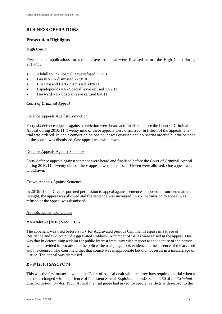## **BUSINESS OPERATIONS**

#### **Prosecution Highlights**

#### **High Court**

Five defence applications for special leave to appeal were finalised before the High Court during 2010-11:

\_\_\_\_\_\_\_\_\_\_\_\_\_\_\_\_\_\_\_\_\_\_\_\_\_\_\_\_\_\_\_\_\_\_\_\_\_\_\_\_\_\_\_\_\_\_\_\_\_\_\_\_\_\_\_\_\_\_\_\_\_\_\_\_\_\_\_\_\_\_\_\_\_\_\_\_\_\_\_\_\_\_\_\_\_\_\_\_\_\_\_\_\_\_\_\_\_\_\_\_\_\_\_\_\_\_\_\_\_\_\_\_\_\_\_\_\_\_\_\_\_\_\_\_\_\_\_\_\_

- Abdulla v R Special leave refused 3/9/10
- Gassy v R dismissed  $22/9/10$
- Chandra and Hart dismissed 30/9/11
- Papadopoulos v R- Special leave refused 11/2/11
- Heyward v R- Special leave refused 8/4/11.

#### *Court of Criminal Appeal*

#### Defence Appeals Against Conviction

Forty six defence appeals against conviction were heard and finalised before the Court of Criminal Appeal during 2010/11. Twenty nine of these appeals were dismissed. In fifteen of the appeals, a retrial was ordered. In one a conviction on one count was quashed and no re-trial ordered but the balance of the appeal was dismissed. One appeal was withdrawn.

#### Defence Appeals Against Sentence

Forty defence appeals against sentence were heard and finalised before the Court of Criminal Appeal during 2010/11. Twenty nine of these appeals were dismissed. Eleven were allowed. One appeal was withdrawn.

#### Crown Appeals Against Sentence

In 2010/11 the Director pursued permission to appeal against sentences imposed in fourteen matters. In eight, the appeal was allowed and the sentence was increased. In six, permission to appeal was refused or the appeal was dismissed.

#### Appeals against Conviction

#### *R v Andrews* **[2010] SASCFC 5**

The appellant was tried before a jury for Aggravated Serious Criminal Trespass in a Place of Residence and two count of Aggravated Robbery. A number of issues were raised in the appeal. One was that in determining a claim for public interest immunity with respect to the identity of the person who had provided information to the police, the trial judge took evidence in the absence of the accused and his counsel. The court held that that course was inappropriate but did not result in a miscarriage of justice. The appeal was dismissed.

#### *R v N* **[2010] SASCFC 74**

This was the first matter in which the Court of Appeal dealt with the directions required at trial when a person is charged with the offence of Persistent Sexual Exploitation under section 50 of the *Criminal Law Consolidation Act,* 1935. At trial the trial judge had asked for special verdicts with respect to the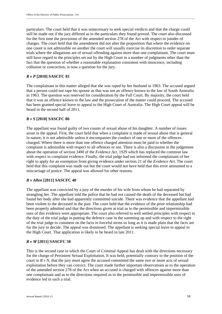particulars. The court held that it was unnecessary to seek special verdicts and that the charge could still be made out if the jury differed as to the particulars they found proved. The court also discussed for the first time the provisions of the amended section 278 of the Act with respect to joinder of charges. The court held that the amendment did not alter the proposition that where the evidence on one count is not admissible on another the court will usually exercise its discretion to order separate trials where the allegations are of sexual offending against more than one complainant. The court must still have regard to the principles set out by the High Court in a number of judgments other than the fact that the question of whether a reasonable explanation consistent with innocence, including collusion or concoction, is now a question for the jury.

#### *R v P* **[2010] SASCFC 81**

The complainant in this matter alleged that she was raped by her husband in 1963. The accused argued that a person could not rape his spouse as that was not an offence known to the law of South Australia in 1963. The question was reserved for consideration by the Full Court. By majority, the court held that it was an offence known to the law and the prosecution of the matter could proceed. The accused has been granted special leave to appeal to the High Court of Australia. The High Court appeal will be heard in the second half of 2011.

#### *R v S* **[2010] SASCFC 80**

The appellant was found guilty of two counts of sexual abuse of his daughter. A number of issues arose in the appeal. First, the court held that when a complaint is made of sexual abuse that is general in nature, it is not admissible unless it encompasses the conduct of one or more of the offences charged. Where there is more than one offence charged attention must be paid to whether the complaint is admissible with respect to all offences or not. There is also a discussion in the judgement about the operation of section 34M of the *Evidence Act*, 1929 which has replaced the common law with respect to complaint evidence. Finally, the trial judge had not informed the complainant of her right to apply for an exemption from giving evidence under section 21 of the *Evidence Act.* The court held that this complaint was made out but the court would not have held that this error amounted to a miscarriage of justice. The appeal was allowed for other reasons.

#### *R v Allen* **[2011] SASCFC 40**

The appellant was convicted by a jury of the murder of his wife from whom he had separated by strangling her. The appellant told the police that he had not caused the death of the deceased but had found her body after she had apparently committed suicide. There was evidence that the appellant had been violent to the deceased in the past. The court held that the evidence of the prior relationship had been properly admitted and that the directions given at trial as to the permissible and impermissible uses of this evidence were appropriate. The court also referred to well settled principles with respect to the duty of the trial judge in putting the defence case in the summing up and with respect to the right of the trial judge to comment on the facts in forceful terms so long as it is made plain that the facts are for the jury to decide. The appeal was dismissed. The appellant is seeking special leave to appeal to the High Court. That application is likely to be heard in late 2011.

#### *R v M* **[2011] SASCFC 50**

This is the second case in which the Court of Criminal Appeal has dealt with the directions necessary for the charge of Persistent Sexual Exploitation. It was held, potentially contrary to the position of the court in  $R v N$ , that the jury must agree the accused committed the same two or more acts of sexual exploitation before they can convict. The court made further important observations as to the operation of the amended section 278 of the Act when an accused is charged with offences against more than one complainant and as to the directions required as to the permissible and impermissible uses of evidence led in such a trial.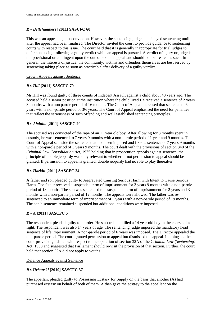#### *R v Bellchambers* **[2011] SASCFC 60**

This was an appeal against conviction. However, the sentencing judge had delayed sentencing until after the appeal had been finalised. The Director invited the court to provide guidance to sentencing courts with respect to this issue. The court held that it is generally inappropriate for trial judges to defer sentencing following a guilty verdict while an appeal is pursued. A verdict of a jury or judge is not provisional or contingent upon the outcome of an appeal and should not be treated as such. In general, the interests of justice, the community, victims and offenders themselves are best served by sentencing taking place as soon as practicable after delivery of a guilty verdict.

#### Crown Appeals against Sentence

#### *R v Hill* **[2011] SASCFC 79**

Mr Hill was found guilty of three counts of Indecent Assault against a child about 40 years ago. The accused held a senior position at the institution where the child lived He received a sentence of 2 years 3 months with a non parole period of 16 months. The Court of Appeal increased that sentence to 6 years with a non-parole period of 3½ years. The Court of Appeal emphasised the need for penalties that reflect the seriousness of such offending and well established sentencing principles.

#### *R v Abdulla* **[2011] SASCFC 20**

The accused was convicted of the rape of an 11 year old boy. After allowing for 3 months spent in custody, he was sentenced to 7 years 9 months with a non-parole period of 1 year and 9 months. The Court of Appeal set aside the sentence that had been imposed and fixed a sentence of 7 years 9 months with a non-parole period of 3 years 9 months. The court dealt with the provisions of section 340 of the *Criminal Law Consolidation Act*, 1935 holding that in prosecution appeals against sentence, the principle of double jeopardy was only relevant to whether or not permission to appeal should be granted. If permission to appeal is granted, double jeopardy had no role to play thereafter.

#### *R v Harkin* **[2011] SASCFC 24**

A father and son pleaded guilty to Aggravated Causing Serious Harm with Intent to Cause Serious Harm. The father received a suspended term of imprisonment for 3 years 9 months with a non-parole period of 18 months. The son was sentenced to a suspended term of imprisonment for 2 years and 3 months with a non-parole period of 12 months. The appeals were allowed. The father was resentenced to an immediate term of imprisonment of 3 years with a non-parole period of 19 months. The son's sentence remained suspended but additional conditions were imposed.

#### *R v A* **[2011] SASCFC 5**

The respondent pleaded guilty to murder. He stabbed and killed a 14 year old boy in the course of a fight. The respondent was also 14 years of age. The sentencing judge imposed the mandatory head sentence of life imprisonment. A non-parole period of 6 years was imposed. The Director appealed the non-parole period. The court granted permission to appeal but dismissed the appeal. In doing so, the court provided guidance with respect to the operation of section 32A of the *Criminal Law (Sentencing)*  Act, 1988 and suggested that Parliament should re-visit the provision of that section. Further, the court held that section 32A did not apply to youths.

#### Defence Appeals against Sentence

#### *R v Urbanski* **[2010] SASCFC 57**

The appellant pleaded guilty to Possessing Ecstasy for Supply on the basis that another (A) had purchased ecstasy on behalf of both of them. A then gave the ecstasy to the appellant on the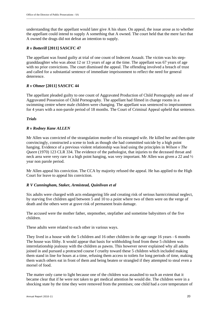understanding that the appellant would later give A his share. On appeal, the issue arose as to whether the appellant could intend to supply A something that A owned. The court held that the mere fact that A owned the drugs did not defeat an intention to supply.

#### *R v Botterill* **[2011] SASCFC 47**

The appellant was found guilty at trial of one count of Indecent Assault. The victim was his stepgranddaughter who was about 12 or 13 years of age at the time. The appellant was 67 years of age with no prior convictions. The court dismissed the appeal. The offending involved a breach of trust and called for a substantial sentence of immediate imprisonment to reflect the need for general deterrence.

#### *R v Ohmer* **[2011] SASCFC 44**

The appellant pleaded guilty to one count of Aggravated Production of Child Pornography and one of Aggravated Possession of Child Pornography. The appellant had filmed in change rooms in a swimming centre where male children were changing. The appellant was sentenced to imprisonment for 4 years with a non-parole period of 18 months. The Court of Criminal Appeal upheld that sentence.

#### *Trials*

#### *R v Rodney Kane ALLEN*

Mr Allen was convicted of the strangulation murder of his estranged wife. He killed her and then quite convincingly, constructed a scene to look as though she had committed suicide by a high point hanging. Evidence of a previous violent relationship was lead using the principles in *Wilson v The Queen* (1970) 123 CLR 334. The evidence of the pathologist, that injuries to the deceased throat and neck area were very rare in a high point hanging, was very important. Mr Allen was given a 22 and ½ year non parole period.

Mr Allen appeal his conviction. The CCA by majority refused the appeal. He has applied to the High Court for leave to appeal his conviction.

#### *R V Cunningham, Staker, Armistead, Quinlivan et al*

Six adults were charged with acts endangering life and creating risk of serious harm/criminal neglect, by starving five children aged between 5 and 10 to a point where two of them were on the verge of death and the others were at grave risk of permanent brain damage.

The accused were the mother father, stepmother, stepfather and sometime babysitters of the five children.

These adults were related to each other in various ways.

They lived in a house with the 5 children and 16 other children in the age range 16 years - 6 months The house was filthy. It would appear that basis for withholding food from these 5 children was interrelationship jealousy with the children as pawns. This however never explained why all adults joined in and pursued a protracted course f cruelty toward these 5 children which included making them stand in line for hours at a time, refusing them access to toilets for long periods of time, making them watch others eat in front of them and being beaten or strangled if they attempted to steal even a morsel of food.

The matter only came to light because one of the children was assaulted to such an extent that it became clear that if he were not taken to get medical attention he would die. The children were in a shocking state by the time they were removed from the premises; one child had a core temperature of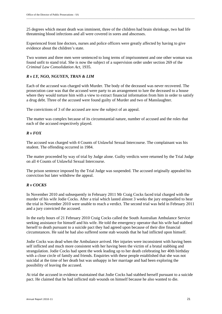25 degrees which meant death was imminent, three of the children had brain shrinkage, two had life threatening blood infections and all were covered in sores and abscesses.

Experienced front line doctors, nurses and police officers were greatly affected by having to give evidence about the children's state.

Two women and three men were sentenced to long terms of imprisonment and one other woman was found unfit to stand trial. She is now the subject of a supervision order under section 269 of the *Criminal Law Consolidation Act,* 1935.

#### *R v LY, NGO, NGUYEN, TRAN & LIM*

Each of the accused was charged with Murder. The body of the deceased was never recovered. The prosecution case was that the accused were party to an arrangement to lure the deceased to a house where they would torture him with a view to extract financial information from him in order to satisfy a drug debt. Three of the accused were found guilty of Murder and two of Manslaughter.

The convictions of 3 of the accused are now the subject of an appeal.

The matter was complex because of its circumstantial nature, number of accused and the roles that each of the accused respectively played.

#### *R v FOX*

The accused was charged with 4 Counts of Unlawful Sexual Intercourse. The complainant was his student. The offending occurred in 1984.

The matter proceeded by way of trial by Judge alone. Guilty verdicts were returned by the Trial Judge on all 4 Counts of Unlawful Sexual Intercourse.

The prison sentence imposed by the Trial Judge was suspended. The accused originally appealed his conviction but later withdrew the appeal.

#### *R v COCKS*

In November 2010 and subsequently in February 2011 Mr Craig Cocks faced trial charged with the murder of his wife Jodie Cocks. After a trial which lasted almost 3 weeks the jury empanelled to hear the trial in November 2010 were unable to reach a verdict. The second trial was held in February 2011 and a jury convicted the accused.

In the early hours of 21 February 2010 Craig Cocks called the South Australian Ambulance Service seeking assistance for himself and his wife. He told the emergency operator that his wife had stabbed herself to death pursuant to a suicide pact they had agreed upon because of their dire financial circumstances. He said he had also suffered some stab wounds that he had inflicted upon himself.

Jodie Cocks was dead when the Ambulance arrived. Her injuries were inconsistent with having been self inflicted and much more consistent with her having been the victim of a brutal stabbing and strangulation. Jodie Cocks had spent the week leading up to her death celebrating her 40th birthday with a close circle of family and friends. Enquiries with these people established that she was not suicidal at the time of her death but was unhappy in her marriage and had been exploring the possibility of leaving the accused.

At trial the accused in evidence maintained that Jodie Cocks had stabbed herself pursuant to a suicide pact. He claimed that he had inflicted stab wounds on himself because he also wanted to die.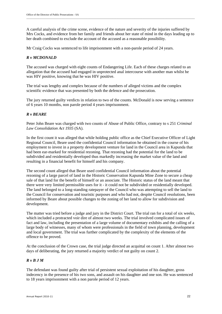A careful analysis of the crime scene, evidence of the nature and severity of the injuries suffered by Mrs Cocks, and evidence from her family and friends about her state of mind in the days leading up to her death combined to exclude the account of the accused as a reasonable possibility.

Mr Craig Cocks was sentenced to life imprisonment with a non-parole period of 24 years.

#### *R v MCDONALD*

The accused was charged with eight counts of Endangering Life. Each of these charges related to an allegation that the accused had engaged in unprotected anal intercourse with another man whilst he was HIV positive, knowing that he was HIV positive.

The trial was lengthy and complex because of the numbers of alleged victims and the complex scientific evidence that was presented by both the defence and the prosecution.

The jury returned guilty verdicts in relation to two of the counts. McDonald is now serving a sentence of 6 years 10 months, non parole period 4 years imprisonment.

#### *R v BEARE*

Peter John Beare was charged with two counts of Abuse of Public Office, contrary to s 251 *Criminal Law Consolidation Act 1935* (SA).

In the first count it was alleged that while holding public office as the Chief Executive Officer of Light Regional Council, Beare used the confidential Council information he obtained in the course of his employment to invest in a property development venture for land in the Council area in Kapunda that had been ear-marked for residential rezoning. That rezoning had the potential for the land to be subdivided and residentially developed thus markedly increasing the market value of the land and resulting in a financial benefit for himself and his company.

The second count alleged that Beare used confidential Council information about the potential rezoning of a large parcel of land in the Historic Conservation Kapunda Mine Zone to secure a cheap sale of that land for the benefit of himself or an associate. The Historic status of the land meant that there were very limited permissible uses for it - it could not be subdivided or residentially developed. The land belonged to a long-standing ratepayer of the Council who was attempting to sell the land to the Council for conservation and touristic purposes and who had not, despite Council resolutions, been informed by Beare about possible changes to the zoning of her land to allow for subdivision and development.

The matter was tried before a judge and jury in the District Court. The trial ran for a total of six weeks, which included a protracted voir dire of almost two weeks. The trial involved complicated issues of fact and law, including the presentation of a large volume of documentary exhibits and the calling of a large body of witnesses, many of whom were professionals in the field of town planning, development and local government. The trial was further complicated by the complexity of the elements of the offence to be proved.

At the conclusion of the Crown case, the trial judge directed an acquittal on count 1. After almost two days of deliberating, the jury returned a majority verdict of not guilty on count 2.

#### *R v B J M*

The defendant was found guilty after trial of persistent sexual exploitation of his daughter, gross indecency in the presence of his two sons, and assault on his daughter and one son. He was sentenced to 18 years imprisonment with a non parole period of 12 years.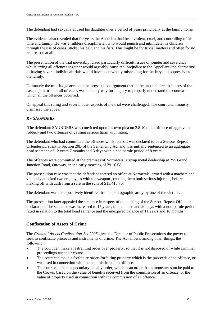The defendant had sexually abused his daughter over a period of years principally at the family home.

The evidence also revealed that for years the Appellant had been violent, cruel, and controlling of his wife and family. He was a ruthless disciplinarian who would punish and intimidate his children through the use of canes, sticks, his belt, and his fists. This might be for trivial matters and often for no real reason at all.

The presentation of the trial inevitably raised particularly difficult issues of joinder and severance; whilst trying all offences together would arguably cause real prejudice to the Appellant, the alternative of having several individual trials would have been wholly misleading for the Jury and oppressive to the family.

Ultimately the trial Judge accepted the prosecution argument that in the unusual circumstances of the case, a joint trial of all offences was the only way for the jury to properly understand the context in which all the offences occurred.

On appeal this ruling and several other aspects of the trial were challenged. The court unanimously dismissed the appeal.

#### *R v SAUNDERS*

 The defendant SAUNDERS was convicted upon his own plea on 2.8.10 of an offence of aggravated robbery and two offences of causing serious harm with intent.

The defendant who had committed the offences whilst on bail was declared to be a Serious Repeat Offender pursuant to Section 20B of the Sentencing Act and was initially sentenced to an aggregate head sentence of 12 years 7 months and 3 days with a non parole period of 8 years.

The offences were committed at the premises of Normetals, a scrap metal dealership at 255 Grand Junction Road, Ottoway, in the early morning of 29.10.08.

The prosecution case was that the defendant entered an office at Normetals, armed with a machete and viciously attacked two employees with the weapon , causing them both serious injuries , before making off with cash from a safe in the sum of \$15,415.70.

The defendant was later positively identified from a photographic array by one of the victims.

The prosecution later appealed the sentence in respect of the making of the Serious Repeat Offender declaration. The sentence was increased to 15 years, nine months and 20 days with a non-parole period fixed in relation to the total head sentence and the unexpired balance of 11 years and 10 months.

#### **Confiscation of Assets of Crime**

The *Criminal Assets Confiscation Act 2005* gives the Director of Public Prosecutions the power to seek to confiscate proceeds and instruments of crime. The Act allows, among other things, the following:

- The court can make a restraining order over property, so that it is not disposed of while criminal proceedings run their course.
- The court can make a forfeiture order, forfeiting property which is the proceeds of an offence, or was used in connection with the commission of an offence.
- The court can make a pecuniary penalty order, which is an order that a monetary sum be paid to the Crown, based on the value of benefits received from the commission of an offence, or the value of property used in connection with the commission of an offence.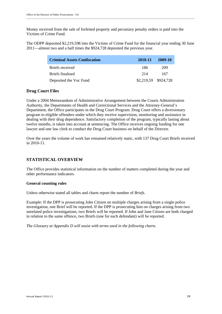Money received from the sale of forfeited property and pecuniary penalty orders is paid into the Victims of Crime Fund.

The ODPP deposited \$2,219,598 into the Victims of Crime Fund for the financial year ending 30 June 2011—almost two and a half times the \$924,728 deposited the previous year.

| <b>Criminal Assets Confiscation</b> | 2010-11              | 2009-10 |
|-------------------------------------|----------------------|---------|
| Briefs received                     | 186                  | 209     |
| Briefs finalised                    | 214                  | 167     |
| Deposited the Voc Fund              | \$2,219,59 \$924,728 |         |

#### **Drug Court Files**

Under a 2004 Memorandum of Administrative Arrangement between the Courts Administration Authority, the Departments of Health and Correctional Services and the Attorney-General's Department, the Office participates in the Drug Court Program. Drug Court offers a diversionary program to eligible offenders under which they receive supervision, monitoring and assistance in dealing with their drug dependence. Satisfactory completion of the program, typically lasting about twelve months, is taken into account at sentencing. The Office receives ongoing funding for one lawyer and one law clerk to conduct the Drug Court business on behalf of the Director.

Over the years the volume of work has remained relatively static, with 137 Drug Court Briefs received in 2010-11.

## **STATISTICAL OVERVIEW**

The Office provides statistical information on the number of matters completed during the year and other performance indicators.

#### **General counting rules**

Unless otherwise stated all tables and charts report the number of *Briefs*.

Example: If the DPP is prosecuting John Citizen on multiple charges arising from a single police investigation, one Brief will be reported. If the DPP is prosecuting him on charges arising from two unrelated police investigations, two Briefs will be reported. If John and Jane Citizen are both charged in relation to the same offence, two Briefs (one for each defendant) will be reported.

*The Glossary at Appendix D will assist with terms used in the following charts.*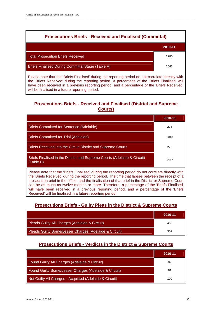

the 'Briefs Received' during the reporting period. A percentage of the 'Briefs Finalised' will have been received in a previous reporting period, and a percentage of the 'Briefs Received' will be finalised in a future reporting period.

## **Prosecutions Briefs - Received and Finalised (District and Supreme Courts)**

|                                                                                                                                                                                                                                                                                                                                                                                                              | 2010-11 |  |  |  |
|--------------------------------------------------------------------------------------------------------------------------------------------------------------------------------------------------------------------------------------------------------------------------------------------------------------------------------------------------------------------------------------------------------------|---------|--|--|--|
| <b>Briefs Committed for Sentence (Adelaide)</b>                                                                                                                                                                                                                                                                                                                                                              | 273     |  |  |  |
| <b>Briefs Committed for Trial (Adelaide)</b>                                                                                                                                                                                                                                                                                                                                                                 | 1043    |  |  |  |
| <b>Briefs Received into the Circuit District and Supreme Courts</b>                                                                                                                                                                                                                                                                                                                                          | 276     |  |  |  |
| Briefs Finalised in the District and Supreme Courts (Adelaide & Circuit)<br>(Table B)                                                                                                                                                                                                                                                                                                                        | 1487    |  |  |  |
| Please note that the 'Briefs Finalised' during the reporting period do not correlate directly with<br>the 'Briefs Received' during the reporting period. The time that lapses between the receipt of a<br>prosecution brief in the office, and the finalisation of that brief in the District or Supreme Court<br>can be as much as twelve months or more. Therefore, a percentage of the 'Briefs Finalised' |         |  |  |  |

## **Prosecutions Briefs - Guilty Pleas in the District & Supreme Courts**

will have been received in a previous reporting period, and a percentage of the 'Briefs'

Received' will be finalised in a future reporting period.

|                                                        | 2010-11 |
|--------------------------------------------------------|---------|
| Pleads Guilty All Charges (Adelaide & Circuit)         | 453     |
| Pleads Guilty Some/Lesser Charges (Adelaide & Circuit) | 302     |

## **Prosecutions Briefs - Verdicts in the District & Supreme Courts**

|                                                         | 2010-11 |
|---------------------------------------------------------|---------|
| Found Guilty All Charges (Adelaide & Circuit)           | 89      |
| Found Guilty Some/Lesser Charges (Adelaide & Circuit)   | 61      |
| Not Guilty All Charges - Acquitted (Adelaide & Circuit) | 109     |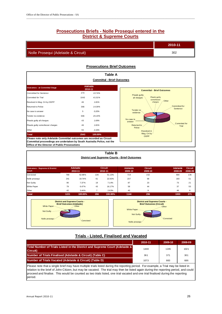## **Prosecutions Briefs - Nolle Prosequi entered in the District & Supreme Courts**

\_\_\_\_\_\_\_\_\_\_\_\_\_\_\_\_\_\_\_\_\_\_\_\_\_\_\_\_\_\_\_\_\_\_\_\_\_\_\_\_\_\_\_\_\_\_\_\_\_\_\_\_\_\_\_\_\_\_\_\_\_\_\_\_\_\_\_\_\_\_\_\_\_\_\_\_\_\_\_\_\_\_\_\_\_\_\_\_\_\_\_\_\_\_\_\_\_\_\_\_\_\_\_\_\_\_\_\_\_\_\_\_\_\_\_\_\_\_\_\_\_\_\_\_\_\_\_\_\_

|                                     | 2010-11 |
|-------------------------------------|---------|
| Nolle Prosequi (Adelaide & Circuit) | 302     |

#### **Prosecutions Brief Outcomes**

|                                                                                                                                                                                                         |                            |         | Table A                                      |
|---------------------------------------------------------------------------------------------------------------------------------------------------------------------------------------------------------|----------------------------|---------|----------------------------------------------|
|                                                                                                                                                                                                         |                            |         | <b>Committal - Brief Outcomes</b>            |
| <b>Outcomes - at Committal Stage</b>                                                                                                                                                                    | <b>Adelaide</b><br>2010-11 |         | <b>Committal - Brief Outcomes</b>            |
| <b>Committed for Sentence</b>                                                                                                                                                                           | 273                        | 10.74%  | Pleads guilty                                |
| <b>Commtted for Trial</b>                                                                                                                                                                               | 1043                       | 41.01%  | Pleads guilty<br>all charges<br>some/lesser  |
| Resolved in Mag. Crt by ODPP                                                                                                                                                                            | 46                         | 1.81%   | -Other<br>charges                            |
| Retumed to Police                                                                                                                                                                                       | 366                        | 14.39%  | Committed for                                |
| No case to answer                                                                                                                                                                                       | 5                          | 0.20%   | Sentence<br>Tender <sub>no</sub><br>evidence |
| Tender no evidence                                                                                                                                                                                      | 666                        | 26.19%  |                                              |
| Pleads guilty all charges                                                                                                                                                                               | 43                         | 1.69%   | No case to<br>answer                         |
| Pleads guilty some/lesser charges                                                                                                                                                                       | 46                         | 1.81%   | Commtted for<br>Returned to<br>Trial         |
| Other                                                                                                                                                                                                   | 55                         | 2.16%   | Police<br>Resolved in                        |
| <b>Total</b>                                                                                                                                                                                            | 2543                       | 100.00% | Mag. Crt by-<br><b>ODPP</b>                  |
| Please note only Adelaide Committal outcomes are recorded as Circuit<br>Committal proceedings are undertaken by South Australia Police, not the<br><b>Office of the Director of Public Prosecutions</b> |                            |         |                                              |

| <b>Table B</b><br><b>District and Supreme Courts - Brief Outcomes</b>                                                                                                                                                                                                                                             |      |                            |                |                           |                            |                           |                            |                           |
|-------------------------------------------------------------------------------------------------------------------------------------------------------------------------------------------------------------------------------------------------------------------------------------------------------------------|------|----------------------------|----------------|---------------------------|----------------------------|---------------------------|----------------------------|---------------------------|
| <b>Outcomes - Supreme &amp; District</b><br>Court                                                                                                                                                                                                                                                                 |      | <b>Adelaide</b><br>2010-11 |                | <b>Circuit</b><br>2010-11 | <b>Adelaide</b><br>2009-10 | <b>Circuit</b><br>2009-10 | <b>Adelaide</b><br>2008-09 | <b>Circuit</b><br>2008-09 |
| Convicted                                                                                                                                                                                                                                                                                                         | 769  | 62.98%                     | 136            | 51.13%                    | 719                        | 152                       | 664                        | 136                       |
| Nolle prosequi                                                                                                                                                                                                                                                                                                    | 241  | 19.74%                     | 61             | 22.93%                    | 237                        | 68                        | 183                        | 51                        |
| Not Guilty                                                                                                                                                                                                                                                                                                        | 90   | 7.37%                      | 19             | 7.14%                     | 87                         | 23                        | 73                         | 21                        |
| White Paper                                                                                                                                                                                                                                                                                                       | 79   | 6.47%                      | 43             | 16.17%                    | 58                         | 44                        | 37                         | 55                        |
| Other                                                                                                                                                                                                                                                                                                             | 42   | 3.44%                      | $\overline{7}$ | 2.63%                     | 43                         | 9                         | 46                         | 8                         |
| <b>Total</b>                                                                                                                                                                                                                                                                                                      | 1221 | 100.00%                    | 266            | 100.00%                   | 1144                       | 296                       | 1003                       | 271                       |
| <b>District and Supreme Courts -</b><br><b>District and Supreme Courts -</b><br><b>Brief Outcomes (Adelaide)</b><br><b>Brief Outcomes (Circuit)</b><br>White Paper-<br>-Other<br>-Other<br><b>White Paper</b><br>Not Guilty<br>Not Guilty-<br><b>Convicted</b><br>Nolle prosequi<br>-Convicted<br>Nolle prosequi- |      |                            |                |                           |                            |                           |                            |                           |

#### **Trials - Listed, Finalised and Vacated**

|                                                                                         | 2010-11 | 2009-10 | 2008-09 |
|-----------------------------------------------------------------------------------------|---------|---------|---------|
| Total Number of Trials Listed in the District and Supreme Court (Adelaide &<br>Circuit) | 1448    | 1245    | 1021    |
| Number of Trials Finalised (Adelaide & Circuit) (Table C)                               | 361     | 371     | 301     |
| Number of Trials Vacated (Adelaide & Circuit) (Table D)                                 | 1073    | 883     | 686     |
|                                                                                         |         |         |         |

Please note that a single brief may have multiple trials listed during the reporting period. For example, a Trial may be listed in relation to the brief of John Citizen, but may be vacated. The trial may then be listed again during the reporting period, and could proceed and finalise. This would be counted as two trials listed, one trial vacated and one trial finalised during the reporting period.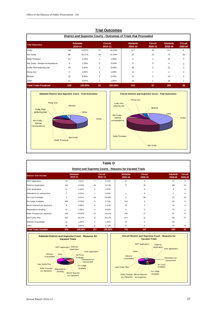| <b>Trial Outcomes</b><br>District and Supreme Courts - Outcomes of Trials that Proceeded |                |         |    |         |                       |                |                            |                |
|------------------------------------------------------------------------------------------|----------------|---------|----|---------|-----------------------|----------------|----------------------------|----------------|
|                                                                                          |                |         |    |         | <b>Trial Outcomes</b> |                | <b>Adelaide</b><br>2010-11 |                |
| Guilty                                                                                   | 136            | 43.87%  | 22 | 43.14%  | 117                   | 20             | 117                        | 6              |
| Not Guilty                                                                               | 89             | 28.71%  | 19 | 37.25%  | 87                    | 23             | 74                         | 20             |
| Nolle Prosequi                                                                           | 10             | 3.23%   | 1  | 1.96%   | 9                     | $\overline{4}$ | 16                         | 3              |
| Not Guilty - Mental incompetence                                                         | $\overline{4}$ | 1.29%   | 0  | 0.00%   | 9                     | 0              | 4                          | $\mathbf 0$    |
| Guilty Plea at/during trial                                                              | 29             | 9.35%   | 5  | 9.80%   | 35                    | 5              | 13                         | 3              |
| Hung Jury                                                                                | 6              | 1.94%   | 1  | 1.96%   | 12                    | 1              |                            | 4              |
| Mistrial                                                                                 | 25             | 8.06%   | 2  | 3.92%   | 21                    | 3              | 19                         | $\overline{2}$ |
| Other                                                                                    | 11             | 3.55%   | 1  | 1.96%   | 24                    | 1              | 18                         |                |
| <b>Total Trials Finalised</b>                                                            | 310            | 100.00% | 51 | 100.00% | 314                   | 57             | 262                        | 39             |





|                                                                                                                                                                                         |                |                            |                | <b>Table D</b>            |                                                          |                                                                                  |                                                                             |                           |
|-----------------------------------------------------------------------------------------------------------------------------------------------------------------------------------------|----------------|----------------------------|----------------|---------------------------|----------------------------------------------------------|----------------------------------------------------------------------------------|-----------------------------------------------------------------------------|---------------------------|
|                                                                                                                                                                                         |                |                            |                |                           | District and Supreme Courts - Reasons for Vacated Trials |                                                                                  |                                                                             |                           |
| <b>Reason Trial Vacated</b>                                                                                                                                                             |                | <b>Adelaide</b><br>2010-11 |                | <b>Circuit</b><br>2010-11 | <b>Adelaide</b><br>2009-10                               | <b>Circuit</b><br>2009-10                                                        | <b>Adelaide</b><br>2008-09                                                  | <b>Circuit</b><br>2008-09 |
| <b>DPP</b> Application                                                                                                                                                                  | 23             | 2.51%                      | $\overline{7}$ | 4.46%                     | 47                                                       | 5                                                                                | 47                                                                          | $\mathbf 0$               |
| Defence Application                                                                                                                                                                     | 101            | 11.03%                     | 19             | 12.10%                    | 77                                                       | 20                                                                               | 106                                                                         | 16                        |
| Joint Application                                                                                                                                                                       | 11             | 1.20%                      | 3              | 1.91%                     |                                                          | 0                                                                                | 0                                                                           | $\mathbf 0$               |
| Defendant not represented                                                                                                                                                               | $\overline{2}$ | 0.22%                      | 1              | 0.64%                     | $\mathbf{1}$                                             | 0                                                                                | $\overline{c}$                                                              | $\mathbf 0$               |
| No Court Available                                                                                                                                                                      | $\overline{2}$ | 0.22%                      | 40             | 25.48%                    | 8                                                        | 89                                                                               | 22                                                                          | 26                        |
| No Judge Available                                                                                                                                                                      | 256            | 27.95%                     | 9              | 5.73%                     | 104                                                      | $\mathbf 0$                                                                      | 93                                                                          | $\mathbf 0$               |
| Bench Warrant (on day/prior)                                                                                                                                                            | 9              | 0.98%                      | 3              | 1.91%                     | 12                                                       | $\overline{2}$                                                                   | 10                                                                          | 3                         |
| Negotiations pending                                                                                                                                                                    | 17             | 1.86%                      | $\mathbf 0$    | 0.00%                     | 3                                                        | $\Omega$                                                                         | 10                                                                          | $\Omega$                  |
| Nolle Prosequi (on day/prior)                                                                                                                                                           | 136            | 14.85%                     | 22             | 14.01%                    | 136                                                      | 17                                                                               | 91                                                                          | 11                        |
| Late Guilty Plea                                                                                                                                                                        | 313            | 34.17%                     | 41             | 26.11%                    | 277                                                      | 31                                                                               | 161                                                                         | 27                        |
| Witness Unavailable                                                                                                                                                                     | 11             | 1.20%                      | 3              | 1.91%                     | 24                                                       | $\mathbf 0$                                                                      | 26                                                                          |                           |
| Other                                                                                                                                                                                   | 35             | 3.82%                      | 9              | 5.73%                     | 27                                                       | 3                                                                                | 25                                                                          | 10                        |
| <b>Total Trials Vacated</b>                                                                                                                                                             | 916            | 100.00%                    | 157            | 100.00%                   | 716                                                      | 167                                                                              | 593                                                                         | 93                        |
| <b>Adelaide District and Supreme Court - Reasons for</b><br><b>Vacated Trials</b>                                                                                                       |                |                            |                |                           |                                                          | <b>Circuit District and Supreme Court - Reasons for</b><br><b>Vacated Trials</b> |                                                                             |                           |
| Defence<br><b>DPP</b> Application<br>Application<br><b>Joint Application</b><br><b>Witness</b><br>Other-<br>No Court<br><b>Unavailable</b><br>Available<br>Defendant not<br>represented |                |                            |                |                           | Witness<br>Unavailable                                   | <b>DPP</b> Application<br>Other-                                                 | Defence<br>Application<br>Joint Application<br>Defendant not<br>represented |                           |

Late Guilty Plea-

Nolle Prosequi Bench Warrant Available<br>(on day/prior) (on day/prior)

No Court Available

No Judge

Nolle Prosequi Negotiations<br>(on day/prior) pending

Late Guilty Plea-

pending Bench Warrant (on day/prior)

No Judge Available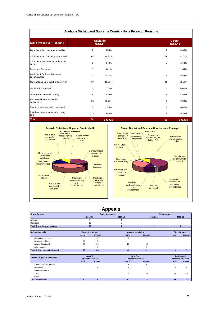| <b>Adelaide District and Supreme Courts - Nolle Prosequi Reasons</b> |     |                            |                |                           |  |
|----------------------------------------------------------------------|-----|----------------------------|----------------|---------------------------|--|
| <b>Nolle Prosequi - Reasons</b>                                      |     | <b>Adelaide</b><br>2010-11 |                | <b>Circuit</b><br>2010-11 |  |
| Complainant did not appear on day                                    | 2   | 0.83%                      | 0              | 0.00%                     |  |
| Complainant did not want to proceed                                  | 60  | 24.90%                     | 26             | 42.62%                    |  |
| Complainant/Witness not able to be<br>located                        | 9   | 3.73%                      | $\mathbf{1}$   | 1.64%                     |  |
| Defendant Deceased                                                   | 1   | 0.41%                      | $\overline{1}$ | 1.64%                     |  |
| Insufficient Evidence/change of<br>circumstances                     | 10  | 4.15%                      | 6              | 9.84%                     |  |
| No reasonable prospect of conviction                                 | 97  | 40.25%                     | 18             | 29.51%                    |  |
| Not in Public Interest                                               | 3   | 1.24%                      | 0              | 0.00%                     |  |
| Other (enter reason in notes)                                        | 6   | 2.49%                      | 3              | 4.92%                     |  |
| Plea taken by co-accused in<br>satisfaction                          | 26  | 10.79%                     | $\Omega$       | 0.00%                     |  |
| Plea to other charge(s) in satisfaction                              | 3   | 1.24%                      | $\Omega$       | 0.00%                     |  |
| Resolved in another way (ie in Mag<br>Crt)                           | 24  | 9.96%                      | 6              | 9.84%                     |  |
| <b>Total</b>                                                         | 241 | 100.00%                    | 61             | 100.00%                   |  |



# **Appeals**

| <b>Crown Appeals</b>                 |                         |                | <b>Against sentence</b>   |                | Other grounds |                      |  |
|--------------------------------------|-------------------------|----------------|---------------------------|----------------|---------------|----------------------|--|
|                                      | 2010-11                 |                | 2009-10                   | 2010-11        |               | 2009-10              |  |
| Allowed                              | 8                       |                | 4                         |                |               |                      |  |
| Dismissed                            | 12                      |                |                           |                |               |                      |  |
| <b>Total Crown Appeals decided</b>   | 20                      |                | 5                         | $\bf{0}$       | $\mathbf{0}$  |                      |  |
|                                      |                         |                |                           |                |               | <b>Other Grounds</b> |  |
| <b>Defence Appeals</b>               | <b>Against sentence</b> |                | <b>Against conviction</b> |                |               |                      |  |
|                                      | 2010-11                 | 2009-10        | 2010-11                   | 2009-10        | 2010-11       | 2009-10              |  |
| Conviction quashed                   |                         | $\overline{2}$ | 16                        | 6              |               |                      |  |
| Sentence reduced                     | 10                      | 5              |                           |                |               |                      |  |
| Appeal Dismissed                     | 29                      | 16             | 28                        | 23             |               |                      |  |
| Other outcome                        |                         |                | $\overline{c}$            | $\overline{2}$ |               |                      |  |
| <b>Total Defence Appeals decided</b> | 40                      | 24             | 46                        | 31             | $\mathbf{0}$  | $\bf{0}$             |  |
| <b>Leave to Appeal Applications</b>  | By DPP                  |                | <b>By Defence</b>         |                |               | <b>By Defence</b>    |  |
|                                      | against sentence        |                | against Sentence          |                |               | against Conviction   |  |
|                                      | 2010-11                 | 2009-10        | 2010-11                   | 2009-10        | 2010-11       | 2009-10              |  |
| Abandoned / Withdrawn                |                         |                | 9                         | 5              |               | 2                    |  |
| Dismissed                            |                         |                | 14                        | 11             | 5             | 5                    |  |
| Sentence reduced                     |                         |                |                           |                |               |                      |  |
| To CCA                               |                         |                | 30                        | 30             | 43            | 29                   |  |
| Other                                |                         |                |                           |                |               |                      |  |
| <b>Total Applications</b>            | $\bf{0}$                |                | 53                        | 46             | 55            | 36                   |  |

**Complainant** did not appear on day

> **Complainant** did not want to proceed

Insufficient Evidence or change of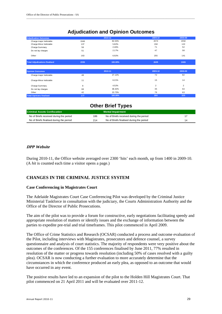# **Adjudication and Opinion Outcomes**

\_\_\_\_\_\_\_\_\_\_\_\_\_\_\_\_\_\_\_\_\_\_\_\_\_\_\_\_\_\_\_\_\_\_\_\_\_\_\_\_\_\_\_\_\_\_\_\_\_\_\_\_\_\_\_\_\_\_\_\_\_\_\_\_\_\_\_\_\_\_\_\_\_\_\_\_\_\_\_\_\_\_\_\_\_\_\_\_\_\_\_\_\_\_\_\_\_\_\_\_\_\_\_\_\_\_\_\_\_\_\_\_\_\_\_\_\_\_\_\_\_\_\_\_\_\_\_\_\_

| <b>Adjudication Outcomes</b>         |      | 2010-11 | 2009-10        | 2008-09        |
|--------------------------------------|------|---------|----------------|----------------|
| Charge major Indictable              | 1946 | 82.63%  | 2074           | 2092           |
| Charge Minor Indictable              | 137  | 5.82%   | 158            | 122            |
| Charge Summary                       | 58   | 2.46%   | 71             | 52             |
| Do not lay charges                   | 51   | 2.17%   | 47             | 58             |
| Other                                | 163  | 6.92%   | 255            | 141            |
| <b>Total Adjudications finalised</b> | 2355 | 100.00% | 2605           | 2465           |
|                                      |      |         |                |                |
| <b>Opinion Outcomes</b>              |      | 2010-11 | 2009-10        | 2008-09        |
| Charge major Indictable              | 48   | 27.12%  | 72             | 82             |
| Charge Minor Indictable              | 11   | 6.21%   | 15             | 14             |
| Charge Summary                       | 8    | 4.52%   | $\overline{2}$ | $\overline{2}$ |
| Do not lay charges                   | 68   | 38.42%  | 35             | 64             |
| Other                                | 42   | 23.73%  | 76             | 63             |
| <b>Total Opinions finalised</b>      | 177  | 100.00% | 200            | 225            |

| <b>Other Brief Types</b>                 |     |                                          |    |  |
|------------------------------------------|-----|------------------------------------------|----|--|
| <b>Criminal Assets Confiscation</b>      |     | <b>Mental Impairment</b>                 |    |  |
| No of Briefs received during the period  | 186 | No of Briefs received during the period  |    |  |
| No of Briefs finalised during the period | 214 | No of Briefs finalised during the period | 14 |  |

#### **DPP Website**

During 2010-11, the Office website averaged over 2300 'hits' each month, up from 1400 in 2009-10. (A *hit* is counted each time a visitor opens a page.)

## **CHANGES IN THE CRIMINAL JUSTICE SYSTEM**

#### **Case Conferencing in Magistrates Court**

The Adelaide Magistrates Court Case Conferencing Pilot was developed by the Criminal Justice Ministerial Taskforce in consultation with the judiciary, the Courts Administration Authority and the Office of the Director of Public Prosecutions.

The aim of the pilot was to provide a forum for constructive, early negotiations facilitating speedy and appropriate resolution of matters or identify issues and the exchange of information between the parties to expedite pre-trial and trial timeframes. This pilot commenced in April 2009.

The Office of Crime Statistics and Research (OCSAR) conducted a process and outcome evaluation of the Pilot, including interviews with Magistrates, prosecutors and defence counsel, a survey questionnaire and analysis of court statistics. The majority of respondents were very positive about the outcomes of the conferences. Of the 155 conferences finalised by June 2011, 77% resulted in resolution of the matter or progress towards resolution (including 50% of cases resolved with a guilty plea). OCSAR is now conducting a further evaluation to more accurately determine that the circumstances in which the conference produced an early plea, as opposed to an outcome that would have occurred in any event.

The positive results have led to an expansion of the pilot to the Holden Hill Magistrates Court. That pilot commenced on 21 April 2011 and will be evaluated over 2011-12.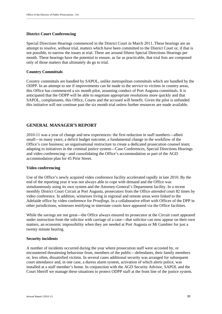#### **District Court Conferencing**

Special Directions Hearings commenced in the District Court in March 2011. These hearings are an attempt to resolve, without trial, matters which have been committed to the District Court or, if that is not possible, to narrow the issues at trial. There are around fifteen Special Directions Hearings per month. These hearings have the potential to ensure, as far as practicable, that trial lists are composed only of those matters that ultimately do go to trial.

\_\_\_\_\_\_\_\_\_\_\_\_\_\_\_\_\_\_\_\_\_\_\_\_\_\_\_\_\_\_\_\_\_\_\_\_\_\_\_\_\_\_\_\_\_\_\_\_\_\_\_\_\_\_\_\_\_\_\_\_\_\_\_\_\_\_\_\_\_\_\_\_\_\_\_\_\_\_\_\_\_\_\_\_\_\_\_\_\_\_\_\_\_\_\_\_\_\_\_\_\_\_\_\_\_\_\_\_\_\_\_\_\_\_\_\_\_\_\_\_\_\_\_\_\_\_\_\_\_

#### **Country Committals**

Country committals are handled by SAPOL, unlike metropolitan committals which are handled by the ODPP. In an attempt to see if improvements can be made to the service to victims in country areas, this Office has commenced a six month pilot, assuming conduct of Port Augusta committals. It is anticipated that the ODPP will be able to negotiate appropriate resolutions more quickly and that SAPOL, complainants, this Office, Courts and the accused will benefit. Given the pilot is unfunded this initiative will not continue past the six month trial unless further resources are made available.

#### **GENERAL MANAGER'S REPORT**

2010-11 was a year of change and new experiences: the first reduction in staff numbers—albeit small—in many years; a deficit budget outcome; a fundamental change in the workflow of the Office's core business; an organisational restructure to create a dedicated prosecution counsel team; adapting to initiatives in the criminal justice system—Case Conferences, Special Directions Hearings and video conferencing—and consolidating the Office's accommodation as part of the AGD accommodation plan for 45 Pirie Street.

#### **Video conferencing**

Use of the Office's newly acquired video conference facility accelerated rapidly in late 2010. By the end of the reporting year it was not always able to cope with demand and the Office was simultaneously using its own system and the Attorney-General's Department facility. In a recent monthly District Court Circuit at Port Augusta, prosecutors from the Office *attended* court 82 times by video conference. In addition, witnesses living in regional and remote areas were linked to the Adelaide office by video conference for *Proofings*. In a collaborative effort with Offices of the DPP in other jurisdictions, witnesses testifying in interstate courts have appeared via the Office facilities.

While the savings are not great—the Office always ensured its prosecutor at the Circuit court appeared under instruction from the solicitor with carriage of a case—that solicitor can now appear on their own matters, an economic impossibility when they are needed at Port Augusta or Mt Gambier for just a twenty minute hearing.

#### **Security incidents**

A number of incidents occurred during the year where prosecution staff were accosted by, or encountered threatening behaviour from, members of the public—defendants, their family members or, less often, dissatisfied victims. In several cases additional security was arranged for subsequent court attendance and, in one case, a duress alarm system, activation of which alerts police, was installed at a staff member's home. In conjunction with the AGD Security Advisor, SAPOL and the Court Sheriff we manage these situations to protect ODPP staff at the front line of the justice system.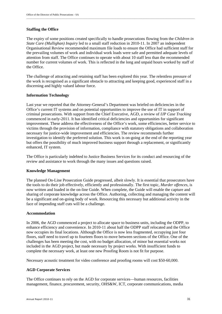#### **Staffing the Office**

The expiry of some positions created specifically to handle prosecutions flowing from the *Children in State Care (Mullighan) Inquiry* led to a small staff reduction in 2010-11. In 2007 an independent Organisational Review recommended maximum file loads to ensure the Office had sufficient staff for the prevailing volumes of work and individual work loads were safe and permitted adequate levels of attention from staff. The Office continues to operate with about 10 staff less than the recommended number for current volumes of work. This is reflected in the long and unpaid hours worked by staff of the Office.

\_\_\_\_\_\_\_\_\_\_\_\_\_\_\_\_\_\_\_\_\_\_\_\_\_\_\_\_\_\_\_\_\_\_\_\_\_\_\_\_\_\_\_\_\_\_\_\_\_\_\_\_\_\_\_\_\_\_\_\_\_\_\_\_\_\_\_\_\_\_\_\_\_\_\_\_\_\_\_\_\_\_\_\_\_\_\_\_\_\_\_\_\_\_\_\_\_\_\_\_\_\_\_\_\_\_\_\_\_\_\_\_\_\_\_\_\_\_\_\_\_\_\_\_\_\_\_\_\_

The challenge of attracting and retaining staff has been explored this year. The relentless pressure of the work is recognised as a significant obstacle to attracting and keeping good, experienced staff in a discerning and highly valued labour force.

#### **Information Technology**

Last year we reported that the Attorney-General's Department was briefed on deficiencies in the Office's current IT systems and on potential opportunities to improve the use of IT in support of criminal prosecutions. With support from the Chief Executive, AGD, a review of *IJP Case Tracking* commenced in early-2011. It has identified critical deficiencies and opportunities for significant improvement. These address the effectiveness of the Office's work, some efficiencies, better service to victims through the provision of information, compliance with statutory obligations and collaboration necessary for justice-wide improvement and efficiencies. The review recommends further investigation to identify the preferred solution. This work is on-going at the end of the reporting year but offers the possibility of much improved business support through a replacement, or significantly enhanced, IT system.

The Office is particularly indebted to Justice Business Services for its conduct and resourcing of the review and assistance to work through the many issues and questions raised.

#### **Knowledge Management**

The planned On-Line Prosecution Guide progressed, albeit slowly. It is essential that prosecutors have the tools to do their job effectively, efficiently and professionally. The first topic, *Murder offences*, is now written and loaded in the on-line Guide. When complete, the Guide will enable the capture and sharing of corporate knowledge across the Office. Authoring, collecting and managing the content will be a significant and on-going body of work. Resourcing this necessary but additional activity in the face of impending staff cuts will be a challenge.

#### **Accommodation**

In 2006, the AGD commenced a project to allocate space to business units, including the ODPP, to enhance efficiency and convenience. In 2010-11 about half the ODPP staff relocated and the Office now occupies its final locations. Although the Office is now less fragmented, occupying just four floors, staff need to travel up to fourteen floors to move between sections of the Office. One of the challenges has been meeting the cost, with no budget allocation, of minor but essential works not included in the AGD project, but made necessary by project works. With insufficient funds to complete the necessary work, at least one new Proofing Room is not fit for purpose.

Necessary acoustic treatment for video conference and proofing rooms will cost \$50-60,000.

#### **AGD Corporate Services**

The Office continues to rely on the AGD for corporate services—human resources, facilities management, finance, procurement, security, OHS&W, ICT, corporate communications, media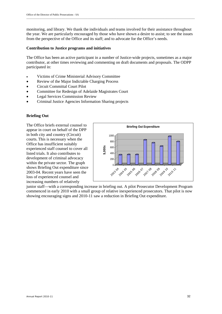monitoring, and library. We thank the individuals and teams involved for their assistance throughout the year. We are particularly encouraged by those who have shown a desire to assist; to see the issues from the perspective of the Office and its staff; and to advocate for the Office's needs.

\_\_\_\_\_\_\_\_\_\_\_\_\_\_\_\_\_\_\_\_\_\_\_\_\_\_\_\_\_\_\_\_\_\_\_\_\_\_\_\_\_\_\_\_\_\_\_\_\_\_\_\_\_\_\_\_\_\_\_\_\_\_\_\_\_\_\_\_\_\_\_\_\_\_\_\_\_\_\_\_\_\_\_\_\_\_\_\_\_\_\_\_\_\_\_\_\_\_\_\_\_\_\_\_\_\_\_\_\_\_\_\_\_\_\_\_\_\_\_\_\_\_\_\_\_\_\_\_\_

#### **Contribution to Justice programs and initiatives**

The Office has been an active participant in a number of Justice-wide projects, sometimes as a major contributor, at other times reviewing and commenting on draft documents and proposals. The ODPP participated in:

- Victims of Crime Ministerial Advisory Committee
- Review of the Major Indictable Charging Process
- Circuit Committal Court Pilot
- Committee for Redesign of Adelaide Magistrates Court
- Legal Services Commission Review
- Criminal Justice Agencies Information Sharing projects

#### **Briefing Out**

The Office briefs external counsel to appear in court on behalf of the DPP in both city and country (Circuit) courts. This is necessary when the Office has insufficient suitably experienced staff counsel to cover all listed trials. It also contributes to development of criminal advocacy within the private sector. The graph shows Briefing Out expenditure since 2003-04. Recent years have seen the loss of experienced counsel and increasing numbers of relatively



junior staff—with a corresponding increase in briefing out. A pilot Prosecutor Development Program commenced in early 2010 with a small group of relative inexperienced prosecutors. That pilot is now showing encouraging signs and 2010-11 saw a reduction in Briefing Out expenditure.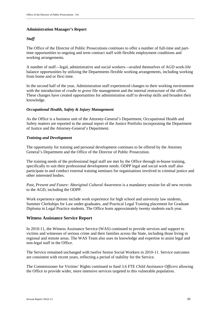#### **Administration Manager's Report**

#### *Staff*

The Office of the Director of Public Prosecutions continues to offer a number of full-time and parttime opportunities to ongoing and term contract staff with flexible employment conditions and working arrangements.

A number of staff—legal, administrative and social workers—availed themselves of AGD work-life balance opportunities by utilizing the Departments flexible working arrangements, including working from home and or flexi time.

In the second half of the year, Administration staff experienced changes to their working environment with the introduction of *cradle to grave* file management and the internal restructure of the office. These changes have created opportunities for administration staff to develop skills and broaden their knowledge.

#### *Occupational Health, Safety & Injury Management*

As the Office is a business unit of the Attorney-General's Department, Occupational Health and Safety matters are reported in the annual report of the Justice Portfolio incorporating the Department of Justice and the Attorney-General's Department.

#### *Training and Development*

The opportunity for training and personal development continues to be offered by the Attorney General's Department and the Office of the Director of Public Prosecution.

The training needs of the professional legal staff are met by the Office through in-house training, specifically to suit their professional development needs. ODPP legal and social work staff also participate in and conduct external training seminars for organisations involved in criminal justice and other interested bodies.

*Past, Present and Future: Aboriginal Cultural Awareness* is a mandatory session for all new recruits to the AGD, including the ODPP.

Work experience options include work experience for high school and university law students, Summer Clerkships for Law under-graduates, and Practical Legal Training placement for Graduate Diploma in Legal Practice students. The Office hosts approximately twenty students each year.

#### **Witness Assistance Service Report**

In 2010-11, the Witness Assistance Service (WAS) continued to provide services and support to victims and witnesses of serious crime and their families across the State, including those living in regional and remote areas. The WAS Team also uses its knowledge and expertise to assist legal and non-legal staff in the Office.

The Service remained unchanged with twelve Senior Social Workers in 2010-11. Service outcomes are consistent with recent years, reflecting a period of stability for the Service.

The Commissioner for Victims' Rights continued to fund 3.6 FTE *Child Assistance Officers* allowing the Office to provide wider, more intensive services targeted to this vulnerable population.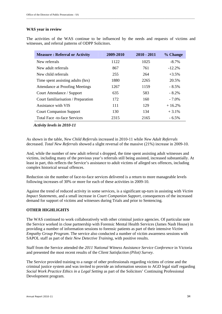#### **WAS year in review**

The activities of the WAS continue to be influenced by the needs and requests of victims and witnesses, and referral patterns of ODPP Solicitors.

| <b>Measure: Referral or Activity</b> | 2009-2010 | $2010 - 2011$ | % Change |
|--------------------------------------|-----------|---------------|----------|
| New referrals                        | 1122      | 1025          | $-8.7\%$ |
| New adult referrals                  | 867       | 761           | $-12.2%$ |
| New child referrals                  | 255       | 264           | $+3.5%$  |
| Time spent assisting adults (hrs)    | 1880      | 2265          | 20.5%    |
| Attendance at Proofing Meetings      | 1267      | 1159          | $-8.5\%$ |
| Court Attendance / Support           | 635       | 583           | $-8.2\%$ |
| Court familiarisation / Preparation  | 172       | 160           | $-7.0\%$ |
| Assistance with VIS                  | 111       | 129           | $+16.2%$ |
| <b>Court Companion Support</b>       | 130       | 134           | $+3.1\%$ |
| <b>Total Face -to-face Services</b>  | 2315      | 2165          | $-6.5\%$ |
|                                      |           |               |          |

 *Activity levels in 2010-11* 

As shown in the table, *New Child Referr*als increased in 2010-11 while *New Adult Referrals* decreased. *Total New Referrals* showed a slight reversal of the massive (21%) increase in 2009-10.

And, while the number of new adult referral s dropped, the time spent assisting adult witnesses and victims, including many of the previous year's referrals still being assisted, increased substantially. At least in part, this reflects the Service's assistance to adult victims of alleged sex offences, including complex historical sexual offences.

Reduction sin the number of face-to-face services delivered is a return to more manageable levels following increases of 30% or more for each of these activities in 2009-10.

Against the trend of reduced activity in some services, is a significant up-turn in assisting with *Victim Impact Statements,* and a small increase in *Court Companion Support*, consequences of the increased demand for support of victims and witnesses during Trials and prior to Sentencing*.* 

#### **OTHER HIGHLIGHTS**

The WAS continued to work collaboratively with other criminal justice agencies. Of particular note the Service worked in close partnership with Forensic Mental Health Services (James Nash House) in providing a number of information sessions to forensic patients as part of their intensive *Victim Empathy Group Program*. The service also conducted a number of victim awareness sessions with SAPOL staff as part of their *New Detective Training,* with positive results.

Staff from the Service attended the *2011 National Witness Assistance Service Conference* in Victoria and presented the most recent results of the *Client Satisfaction (Pilot) Survey*.

The Service provided training to a range of other professionals regarding victims of crime and the criminal justice system and was invited to provide an information session to AGD legal staff regarding *Social Work Practice Ethics in a Legal Setting* as part of the Solicitors' Continuing Professional Development program.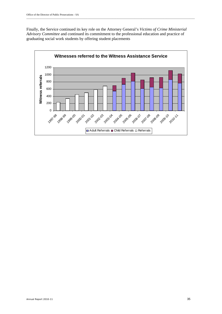Finally, the Service continued its key role on the Attorney General's *Victims of Crime Ministerial Advisory Committee* and continued its commitment to the professional education and practice of graduating social work students by offering student placements

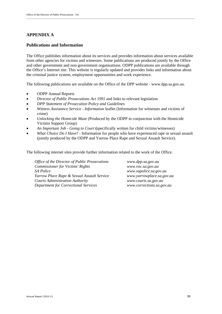## **APPENDIX A**

#### **Publications and Information**

The Office publishes information about its services and provides information about services available from other agencies for victims and witnesses. Some publications are produced jointly by the Office and other government and non-government organisations. ODPP publications are available through the Office's Internet site. This website is regularly updated and provides links and information about the criminal justice system, employment opportunities and work experience.

\_\_\_\_\_\_\_\_\_\_\_\_\_\_\_\_\_\_\_\_\_\_\_\_\_\_\_\_\_\_\_\_\_\_\_\_\_\_\_\_\_\_\_\_\_\_\_\_\_\_\_\_\_\_\_\_\_\_\_\_\_\_\_\_\_\_\_\_\_\_\_\_\_\_\_\_\_\_\_\_\_\_\_\_\_\_\_\_\_\_\_\_\_\_\_\_\_\_\_\_\_\_\_\_\_\_\_\_\_\_\_\_\_\_\_\_\_\_\_\_\_\_\_\_\_\_\_\_\_

The following publications are available on the Office of the DPP website - www.dpp.sa.gov.au.

- ODPP Annual Reports
- *Director of Public Prosecutions Act 1991* and links to relevant legislation
- *DPP Statement of Prosecution Policy and Guidelines*
- *Witness Assistance Service Information* leaflet (Information for witnesses and victims of crime)
- *Unlocking the Homicide Maze (*Produced by the ODPP in conjunction with the Homicide Victims Support Group)
- *An Important Job Going to Court* **(**specifically written for child victims/witnesses)
- *What Choice Do I Have*? Information for people who have experienced rape or sexual assault (jointly produced by the ODPP and Yarrow Place Rape and Sexual Assault Service).

The following internet sites provide further information related to the work of the Office.

*Office of the Director of Public Prosecutions www.dpp.sa.gov.au Commissioner for Victims' Rights www.voc.sa.gov.au SA Police www.sapolice.sa.gov.au Yarrow Place Rape & Sexual Assault Service www.yarrowplace.sa.gov.au Courts Administration Authority www.courts.sa.gov.au Department for Correctional Services www.corrections.sa.gov.au*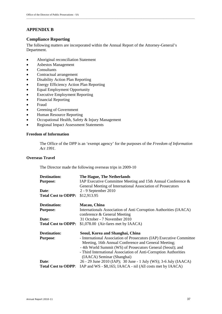# **APPENDIX B**

### **Compliance Reporting**

The following matters are incorporated within the Annual Report of the Attorney-General's Department.

- Aboriginal reconciliation Statement
- Asbestos Management
- Consultants
- Contractual arrangement
- Disability Action Plan Reporting
- Energy Efficiency Action Plan Reporting
- Equal Employment Opportunity
- Executive Employment Reporting
- Financial Reporting
- Fraud
- Greening of Government
- Human Resource Reporting
- Occupational Health, Safety & Injury Management
- Regional Impact Assessment Statements

#### **Freedom of Information**

The Office of the DPP is an 'exempt agency' for the purposes of the *Freedom of Information Act 1991.* 

#### **Overseas Travel**

The Director made the following overseas trips in 2009-10

| <b>Destination:</b>        | The Hague, The Netherlands                                           |
|----------------------------|----------------------------------------------------------------------|
| <b>Purpose:</b>            | IAP Executive Committee Meeting and 15th Annual Conference $\&$      |
|                            | General Meeting of International Association of Prosecutors          |
| Date:                      | 2 - 9 September 2010                                                 |
| <b>Total Cost to ODPP:</b> | \$12,913.95                                                          |
| <b>Destination:</b>        | Macau, China                                                         |
| <b>Purpose:</b>            | Internationals Association of Anti Corruption Authorities (IAACA)    |
|                            | conference & General Meeting                                         |
| Date:                      | 31 October - 7 November 2010                                         |
| <b>Total Cost to ODPP:</b> | \$1,078.00 (Air-fares met by IAACA)                                  |
| <b>Destination:</b>        | Seoul, Korea and Shanghai, China                                     |
| <b>Purpose:</b>            | - International Association of Prosecutors (IAP) Executive Committee |
|                            | Meeting, 16th Annual Conference and General Meeting;                 |
|                            | - 4th World Summit (WS) of Prosecutors General (Seoul); and          |
|                            | - Third International Association of Anti-Corruption Authorities     |
|                            | (IAACA) Seminar (Shanghai)                                           |
| Date:                      | 26 - 29 June 2010 (IAP); 30 June - 1 July (WS); 3-6 July (IAACA)     |
| <b>Total Cost to ODPP:</b> | IAP and WS - \$8,165; IAACA - nil (All costs met by IAACA)           |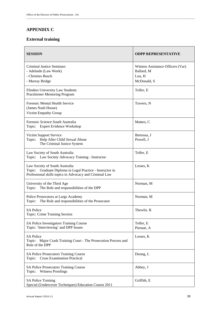# **APPENDIX C**

## **External training**

| <b>SESSION</b>                                                                                                                                         | <b>ODPP REPRESENTATIVE</b>                                               |
|--------------------------------------------------------------------------------------------------------------------------------------------------------|--------------------------------------------------------------------------|
| <b>Criminal Justice Seminars</b><br>- Adelaide (Law Week)<br>- Christies Beach<br>- Murray Bridge                                                      | Witness Assistance Officers (Var)<br>Ballard, M<br>Luu, H<br>McDonald, S |
| <b>Flinders University Law Students</b><br><b>Practitioner Mentoring Program</b>                                                                       | Telfer, E                                                                |
| <b>Forensic Mental Health Service</b><br>(James Nash House)<br>Victim Empathy Group                                                                    | Travers, N                                                               |
| Forensic Science South Australia<br>Topic: Expert Evidence Workshop                                                                                    | Matteo, C                                                                |
| Victim Support Service<br>Help After Child Sexual Abuse<br>Topic:<br>The Criminal Justice System                                                       | Bertossa, J<br>Powell, J                                                 |
| Law Society of South Australia<br>Topic: Law Society Advocacy Training - Instructor                                                                    | Telfer, E                                                                |
| Law Society of South Australia<br>Topic: Graduate Diploma in Legal Practice - Instructor in<br>Professional skills topics in Advocacy and Criminal Law | Lesses, K                                                                |
| University of the Third Age<br>The Role and responsibilities of the DPP<br>Topic:                                                                      | Norman, M                                                                |
| Police Prosecutors at Largs Academy<br>The Role and responsibilities of the Prosecutor<br>Topic:                                                       | Norman, M                                                                |
| <b>SA Police</b><br>Topic: Crime Training Section                                                                                                      | Thewlis. R                                                               |
| SA Police Investigators Training Course<br>Topic: 'Interviewing' and DPP Issues                                                                        | Telfer, E<br>Pienaar, A                                                  |
| <b>SA Police</b><br>Topic: Major Crash Training Court - The Prosecution Process and<br>Role of the DPP                                                 | Lesses, K                                                                |
| <b>SA Police Prosecutors Training Course</b><br>Topic: Cross Examination Practical                                                                     | Duong, L                                                                 |
| <b>SA Police Prosecutors Training Course</b><br><b>Witness Proofings</b><br>Topic:                                                                     | Abbey, J                                                                 |
| <b>SA Police Training</b><br>Special (Undercover Techniques) Education Course 2011                                                                     | Griffith, E                                                              |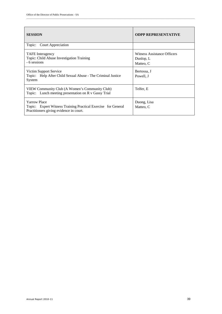| <b>SESSION</b>                                                                                                                  | <b>ODPP REPRESENTATIVE</b>                            |
|---------------------------------------------------------------------------------------------------------------------------------|-------------------------------------------------------|
| <b>Court Appreciation</b><br>Topic:                                                                                             |                                                       |
| <b>TAFE</b> Interagency<br>Topic: Child Abuse Investigation Training<br>- 6 sessions                                            | Witness Assistance Officers<br>Dunlop, L<br>Matteo, C |
| Victim Support Service<br>Topic: Help After Child Sexual Abuse - The Criminal Justice<br>System                                 | Bertossa, J<br>Powell, J                              |
| VIEW Community Club (A Women's Community Club)<br>Topic: Lunch meeting presentation on R v Gassy Trial                          | Telfer, E                                             |
| <b>Yarrow Place</b><br>Topic: Expert Witness Training Practical Exercise for General<br>Practitioners giving evidence in court. | Duong, Lisa<br>Matteo, C                              |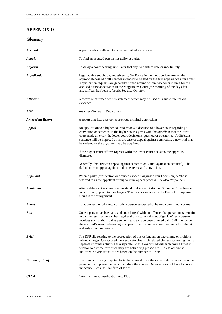# **APPENDIX D**

#### **Glossary**

| <b>Accused</b>           | A person who is alleged to have committed an offence.                                                                                                                                                                                                                                                                                                                                                                      |
|--------------------------|----------------------------------------------------------------------------------------------------------------------------------------------------------------------------------------------------------------------------------------------------------------------------------------------------------------------------------------------------------------------------------------------------------------------------|
| Acquit                   | To find an accused person not guilty at a trial.                                                                                                                                                                                                                                                                                                                                                                           |
| <b>Adjourn</b>           | To delay a court hearing, until later that day, to a future date or indefinitely.                                                                                                                                                                                                                                                                                                                                          |
| <b>Adjudication</b>      | Legal advice sought by, and given to, SA Police in the metropolitan area on the<br>appropriateness of draft charges intended to be laid on the first appearance after arrest.<br>Adjudication requests are generally turned around within two hours in time for the<br>accused's first appearance in the Magistrates Court (the morning of the day after<br>arrest if bail has been refused). See also Opinion.            |
| <b>Affidavit</b>         | A sworn or affirmed written statement which may be used as a substitute for oral<br>evidence.                                                                                                                                                                                                                                                                                                                              |
| AGD                      | Attorney-General's Department                                                                                                                                                                                                                                                                                                                                                                                              |
| <b>Antecedent Report</b> | A report that lists a person's previous criminal convictions.                                                                                                                                                                                                                                                                                                                                                              |
| <b>Appeal</b>            | An application to a higher court to review a decision of a lower court regarding a<br>conviction or sentence. If the higher court agrees with the <i>appellant</i> that the lower<br>court made an error, the lower court decision is quashed or overturned. A different<br>sentence will be imposed or, in the case of appeal against conviction, a new trial may<br>be ordered or the <i>appellant</i> may be acquitted. |
|                          | If the higher court affirms (agrees with) the lower court decision, the appeal is<br>dismissed                                                                                                                                                                                                                                                                                                                             |
|                          | Generally, the DPP can appeal against sentence only (not against an acquittal). The<br>defendant can appeal against both a sentence and conviction.                                                                                                                                                                                                                                                                        |
| <b>Appellant</b>         | When a party (prosecution or accused) appeals against a court decision, he/she is<br>referred to as the appellant throughout the appeal process. See also Respondent.                                                                                                                                                                                                                                                      |
| <b>Arraignment</b>       | After a defendant is committed to stand trial in the District or Supreme Court he/she<br>must formally plead to the charges. This first appearance in the District or Supreme<br>Court is the arraignment.                                                                                                                                                                                                                 |
| Arrest                   | To apprehend or take into custody a person suspected of having committed a crime.                                                                                                                                                                                                                                                                                                                                          |
| Bail                     | Once a person has been arrested and charged with an offence, that person must remain<br>in gaol unless that person has legal authority to remain out of gaol. When a person<br>receives such authority that person is said to have been granted bail. Bail may be on<br>the accused's own undertaking to appear or with sureties (promises made by others)<br>and subject to conditions.                                   |
| <b>Brief</b>             | The DPP file relating to the prosecution of one defendant on one charge or multiple<br>related charges. Co-accused have separate Briefs. Unrelated charges stemming from a<br>separate criminal activity has a separate Brief. Co-accused will each have a Brief in<br>relation to a crime for which they are both being prosecuted. Unless otherwise<br>indicated, ODPP statistics are based on the number of Briefs.     |
| <b>Burden of Proof</b>   | The onus of proving disputed facts. In criminal trials the onus is almost always on the<br>prosecution to prove the facts, including the charge. Defence does not have to prove<br>innocence. See also Standard of Proof.                                                                                                                                                                                                  |
| <b>CLCA</b>              | Criminal Law Consolidation Act 1935                                                                                                                                                                                                                                                                                                                                                                                        |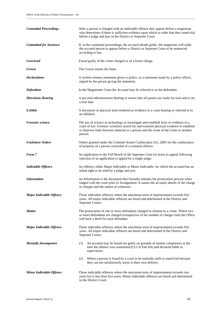| <b>Committal Proceedings</b>    | After a person is charged with an indictable offence they appear before a magistrate<br>who determines if there is sufficient evidence upon which to order that they stand trial<br>before a judge and jury in the District or Supreme Court.                                      |  |  |  |
|---------------------------------|------------------------------------------------------------------------------------------------------------------------------------------------------------------------------------------------------------------------------------------------------------------------------------|--|--|--|
| <b>Committed for Sentence</b>   | If, at the committal proceedings, the accused pleads guilty, the magistrate will order<br>the accused person to appear before a District or Supreme Court to be sentenced<br>according to law.                                                                                     |  |  |  |
| Convicted                       | Found guilty of the crime charged or of a lesser charge.                                                                                                                                                                                                                           |  |  |  |
| Crown                           | The Crown means the State.                                                                                                                                                                                                                                                         |  |  |  |
| <b>Declarations</b>             | A written witness statement given to police, or a statement made by a police officer,<br>signed by the person giving the statement.                                                                                                                                                |  |  |  |
| Defendant                       | In the Magistrates Court the <i>Accused</i> may be referred to as the defendant.                                                                                                                                                                                                   |  |  |  |
| <b>Directions Hearing</b>       | A pre-trial administrative hearing to ensure that all parties are ready for trial and to set<br>a trial date.                                                                                                                                                                      |  |  |  |
| Exhibit                         | A document or physical item tendered as evidence in a court hearing or referred to in<br>an affidavit.                                                                                                                                                                             |  |  |  |
| <b>Forensic science</b>         | The use of science or technology to investigate and establish facts or evidence in a<br>court of law. Forensic scientists search for and examine physical evidence to establish<br>or disprove links between material or a person and the scene of the crime or another<br>person. |  |  |  |
| <b>Forfeiture Orders</b>        | Orders granted under the Criminal Assets Confiscation Act, 2005 for the confiscation<br>of property of a person convicted of a criminal offence.                                                                                                                                   |  |  |  |
| Form 7                          | An application to the Full Bench of the Supreme Court for leave to appeal following<br>rejection of an application to appeal by a single judge.                                                                                                                                    |  |  |  |
| <b>Indictable Offence</b>       | An offence, either Major Indictable or Minor Indictable, for which the accused has an<br>initial right to be tried by a judge and jury.                                                                                                                                            |  |  |  |
| <b>Information</b>              | An Information is the document that formally initiates the prosecution process when<br>lodged with the court prior to Arraignment. It names the accused, details of the charge<br>or charges and the names of witnesses.                                                           |  |  |  |
| <b>Major Indictable Offence</b> | Those indictable offences where the maximum term of imprisonment exceeds five<br>years. All major indictable offences are heard and determined in the District and<br>Supreme Courts.                                                                                              |  |  |  |
| <b>Matter</b>                   | The prosecution of one or more defendants charged in relation to a crime. Where two<br>or more defendants are charged (irrespective of the number of charges laid) the Office<br>will have a Brief for each defendant                                                              |  |  |  |
| <b>Major Indictable Offence</b> | Those indictable offences where the maximum term of imprisonment exceeds five<br>years. All major indictable offences are heard and determined in the District and<br>Supreme Courts.                                                                                              |  |  |  |
| <b>Mentally Incompetent</b>     | An accused may be found not guilty on grounds of mental competence at the<br>(1)<br>time the offence was committed (CLCA Part 8A) and declared liable to<br>supervision.                                                                                                           |  |  |  |
|                                 | Where a person is found by a court to be mentally unfit to stand trial because<br>(2)<br>they can not satisfactorily assist in their own defence.                                                                                                                                  |  |  |  |
| <b>Minor Indictable Offence</b> | Those indictable offences where the maximum term of imprisonment exceeds two<br>years but is less than five years. Minor indictable offences are heard and determined<br>in the District Court.                                                                                    |  |  |  |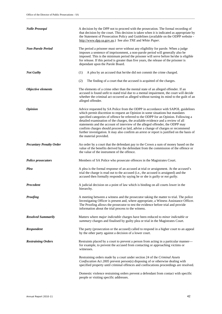| <b>Nolle Prosequi</b>          | A decision by the DPP not to proceed with the prosecution. The formal recording of<br>that decision by the court. This decision is taken when it is indicated as appropriate by<br>the Statement of Prosecution Policy and Guidelines (available on the ODPP website -<br>http://www.dpp.sa.gov.au.) See also TNE and White Paper.                                                                                                                                                                                                                                                                                                      |
|--------------------------------|-----------------------------------------------------------------------------------------------------------------------------------------------------------------------------------------------------------------------------------------------------------------------------------------------------------------------------------------------------------------------------------------------------------------------------------------------------------------------------------------------------------------------------------------------------------------------------------------------------------------------------------------|
| <b>Non-Parole Period</b>       | The period a prisoner must serve without any eligibility for parole. When a judge<br>imposes a sentence of imprisonment, a non-parole period will generally also be<br>imposed. This is the minimum period the prisoner will serve before he/she is eligible<br>for release. If this period is greater than five years, the release of the prisoner is<br>dependant upon the Parole Board.                                                                                                                                                                                                                                              |
| <b>Not Guilty</b>              | (1)<br>A plea by an accused that he/she did not commit the crime charged.                                                                                                                                                                                                                                                                                                                                                                                                                                                                                                                                                               |
|                                | (2)<br>The finding of a court that the accused is acquitted of the charges.                                                                                                                                                                                                                                                                                                                                                                                                                                                                                                                                                             |
| Objective elements             | The elements of a crime other than the mental state of an alleged offender. If an<br>accused is found unfit to stand trial due to a mental impairment, the court will decide<br>whether the criminal act occurred as alleged without turning its mind to the guilt of an<br>alleged offender.                                                                                                                                                                                                                                                                                                                                           |
| <i><b>Opinion</b></i>          | Advice requested by SA Police from the ODPP in accordance with SAPOL guidelines<br>which permit discretion to request an Opinion in some situations but mandates<br>specified categories of offence be referred to the ODPP for an Opinion. Following a<br>detailed examination of the charges, the available evidence and a review of all<br>statements and the account of interview of the alleged offender, the ODPP may<br>confirm charges should proceed as laid, advise a change of charges or recommend<br>further investigation. It may also confirm an arrest or report is justified on the basis of<br>the material provided. |
| <b>Pecuniary Penalty Order</b> | An order by a court that the defendant pay to the Crown a sum of money based on the<br>value of the benefits derived by the defendant from the commission of the offence or<br>the value of the instrument of the offence.                                                                                                                                                                                                                                                                                                                                                                                                              |
| <b>Police prosecutors</b>      | Members of SA Police who prosecute offences in the Magistrates Court.                                                                                                                                                                                                                                                                                                                                                                                                                                                                                                                                                                   |
| Plea                           | A plea is the formal response of an accused at trial or arraignment. At the accused's<br>trial the charge is read out to the accused (i.e., the accused is arraigned) and the<br>accused then formally responds by saying he or she is <i>guilty</i> or <i>not guilty</i> .                                                                                                                                                                                                                                                                                                                                                             |
| <b>Precedent</b>               | A judicial decision on a point of law which is binding on all courts lower in the<br>hierarchy.                                                                                                                                                                                                                                                                                                                                                                                                                                                                                                                                         |
| <b>Proofing</b>                | A meeting between a witness and the prosecutor taking the matter to trial. The police<br>Investigating Officer is present and, where appropriate, a Witness Assistance Officer.<br>The Proofing allows the prosecutor to test the evidence before trial and provide<br>information about the trial process to the witness.                                                                                                                                                                                                                                                                                                              |
| <b>Resolved Summarily</b>      | Matters where <i>major indictable</i> charges have been reduced to <i>minor indictable</i> or<br>summary charges and finalised by guilty plea or trial in the Magistrates Court.                                                                                                                                                                                                                                                                                                                                                                                                                                                        |
| <b>Respondent</b>              | The party (prosecution or the accused) called to respond in a higher court to an appeal<br>by the other party against a decision of a lower court.                                                                                                                                                                                                                                                                                                                                                                                                                                                                                      |
| <b>Restraining Orders</b>      | Restraints placed by a court to prevent a person from acting in a particular manner—<br>for example, to prevent the accused from contacting or approaching victims or<br>witnesses.                                                                                                                                                                                                                                                                                                                                                                                                                                                     |
|                                | Restraining orders made by a court under section 24 of the Criminal Assets<br>Confiscation Act 2005 prevent person(s) disposing of or otherwise dealing with<br>specified property until criminal offences and confiscations proceedings are resolved.                                                                                                                                                                                                                                                                                                                                                                                  |
|                                | Domestic violence restraining orders prevent a defendant from contact with specific<br>people or visiting specific addresses.                                                                                                                                                                                                                                                                                                                                                                                                                                                                                                           |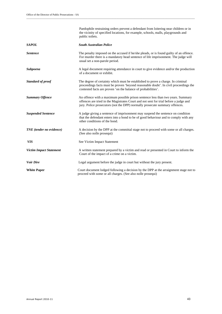|                                 | Paedophile restraining orders prevent a defendant from loitering near children or in<br>the vicinity of specified locations, for example, schools, malls, playgrounds and<br>public toilets.                                                            |
|---------------------------------|---------------------------------------------------------------------------------------------------------------------------------------------------------------------------------------------------------------------------------------------------------|
| <b>SAPOL</b>                    | <b>South Australian Police</b>                                                                                                                                                                                                                          |
| <b>Sentence</b>                 | The penalty imposed on the accused if he/she pleads, or is found guilty of an offence.<br>For murder there is a mandatory head sentence of life imprisonment. The judge will<br>usual set a non-parole period.                                          |
| <b>Subpoena</b>                 | A legal document requiring attendance in court to give evidence and/or the production<br>of a document or exhibit.                                                                                                                                      |
| <b>Standard of proof</b>        | The degree of certainty which must be established to prove a charge. In criminal<br>proceedings facts must be proven 'beyond reasonable doubt'. In civil proceedings the<br>contested facts are proven 'on the balance of probabilities'.               |
| <b>Summary Offence</b>          | An offence with a maximum possible prison sentence less than two years. Summary<br>offences are tried in the Magistrates Court and not sent for trial before a judge and<br>jury. Police prosecutors (not the DPP) normally prosecute summary offences. |
| <b>Suspended Sentence</b>       | A judge giving a sentence of imprisonment may suspend the sentence on condition<br>that the defendant enters into a bond to be of good behaviour and to comply with any<br>other conditions of the bond.                                                |
| <b>TNE</b> (tender no evidence) | A decision by the DPP at the committal stage not to proceed with some or all charges.<br>(See also nolle prosequi)                                                                                                                                      |
| <b>VIS</b>                      | See Victim Impact Statement                                                                                                                                                                                                                             |
| <b>Victim Impact Statement</b>  | A written statement prepared by a victim and read or presented in Court to inform the<br>Court of the impact of a crime on a victim.                                                                                                                    |
| <b>Voir Dire</b>                | Legal argument before the judge in court but without the jury present.                                                                                                                                                                                  |
| <b>White Paper</b>              | Court document lodged following a decision by the DPP at the arraignment stage not to<br>proceed with some or all charges. (See also nolle prosequi)                                                                                                    |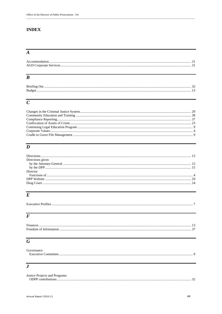# **INDEX**

# $\overline{A}$

# $\overline{B}$

# $\overline{C}$

# $\overline{D}$

| Directions given |  |
|------------------|--|
|                  |  |
|                  |  |
| Director         |  |
|                  |  |
|                  |  |
|                  |  |
|                  |  |

# $\overline{E}$

| Executive I<br>Profiles |  |
|-------------------------|--|
|                         |  |

# $\overline{F}$

| Finances |  |
|----------|--|
|          |  |
|          |  |

# $\overline{G}$

| Governance          |  |
|---------------------|--|
| Executive Committee |  |

# $\overline{\overline{J}}$

| Justice Projects and Programs |  |
|-------------------------------|--|
|                               |  |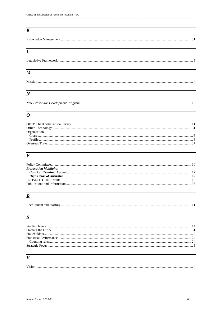# $\overline{K}$

| Knowledge Management. |
|-----------------------|
|-----------------------|

# $\overline{L}$

| $\boldsymbol{M}$ |  |
|------------------|--|
|                  |  |
|                  |  |

# $\overline{N}$

|--|

# $\overline{o}$

| Organisation |  |
|--------------|--|
|              |  |
|              |  |
|              |  |
|              |  |

# $\overline{P}$

| <b>Prosecution highlights</b> |  |
|-------------------------------|--|
|                               |  |
|                               |  |
|                               |  |
|                               |  |
|                               |  |

# $\overline{R}$

| Recruitment and Staffing. |
|---------------------------|
|---------------------------|

# $\overline{s}$

# $\overline{V}$

| $\frac{1}{2}$ ision |  |
|---------------------|--|